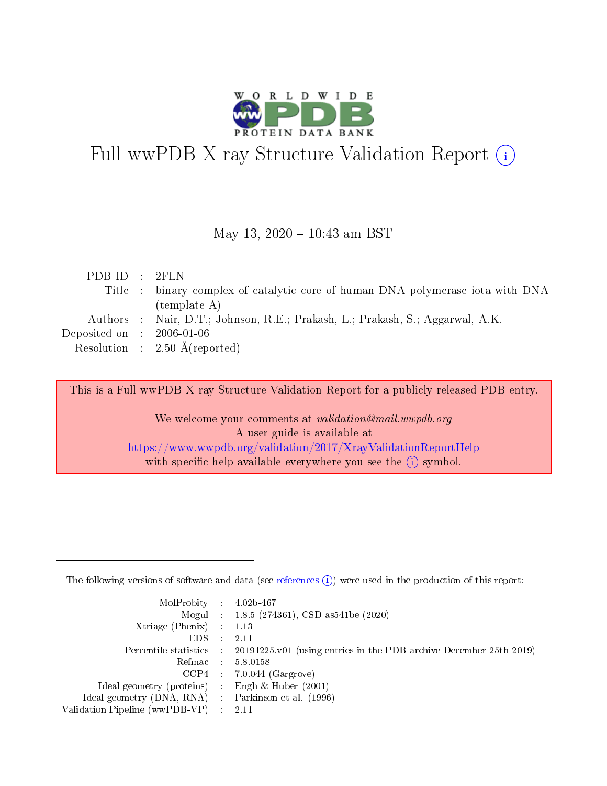

# Full wwPDB X-ray Structure Validation Report (i)

#### May 13,  $2020 - 10:43$  am BST

| PDBID : 2FLN                   |                                                                                |
|--------------------------------|--------------------------------------------------------------------------------|
|                                | Title : binary complex of catalytic core of human DNA polymerase iota with DNA |
|                                | template A)                                                                    |
|                                | Authors : Nair, D.T.; Johnson, R.E.; Prakash, L.; Prakash, S.; Aggarwal, A.K.  |
| Deposited on $\;$ : 2006-01-06 |                                                                                |
|                                | Resolution : $2.50 \text{ Å}$ (reported)                                       |
|                                |                                                                                |

This is a Full wwPDB X-ray Structure Validation Report for a publicly released PDB entry.

We welcome your comments at validation@mail.wwpdb.org A user guide is available at <https://www.wwpdb.org/validation/2017/XrayValidationReportHelp> with specific help available everywhere you see the  $(i)$  symbol.

The following versions of software and data (see [references](https://www.wwpdb.org/validation/2017/XrayValidationReportHelp#references)  $(1)$ ) were used in the production of this report:

| $MolProbability$ : 4.02b-467                      |                              |                                                                                            |
|---------------------------------------------------|------------------------------|--------------------------------------------------------------------------------------------|
|                                                   |                              | Mogul : $1.8.5$ (274361), CSD as 541be (2020)                                              |
| Xtriage (Phenix) $: 1.13$                         |                              |                                                                                            |
| EDS –                                             | $\sim$                       | -2.11                                                                                      |
|                                                   |                              | Percentile statistics : 20191225.v01 (using entries in the PDB archive December 25th 2019) |
| Refmac : 5.8.0158                                 |                              |                                                                                            |
| CCP4                                              |                              | $7.0.044$ (Gargrove)                                                                       |
| Ideal geometry (proteins)                         | $\mathcal{L}_{\mathrm{eff}}$ | Engh & Huber $(2001)$                                                                      |
| Ideal geometry (DNA, RNA) Parkinson et al. (1996) |                              |                                                                                            |
| Validation Pipeline (wwPDB-VP) : 2.11             |                              |                                                                                            |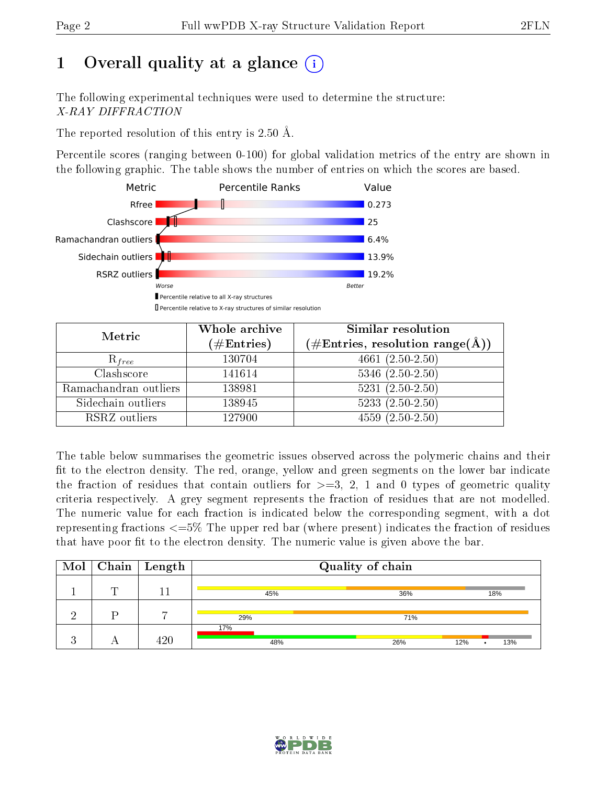## 1 [O](https://www.wwpdb.org/validation/2017/XrayValidationReportHelp#overall_quality)verall quality at a glance  $(i)$

The following experimental techniques were used to determine the structure: X-RAY DIFFRACTION

The reported resolution of this entry is 2.50 Å.

Percentile scores (ranging between 0-100) for global validation metrics of the entry are shown in the following graphic. The table shows the number of entries on which the scores are based.



| Metric                | Whole archive<br>$(\#\mathrm{Entries})$ | Similar resolution<br>$(\#\text{Entries},\,\text{resolution}\,\,\text{range}(\textup{\AA}))$ |
|-----------------------|-----------------------------------------|----------------------------------------------------------------------------------------------|
| $R_{free}$            | 130704                                  | $4661(2.50-2.50)$                                                                            |
| Clashscore            | 141614                                  | $5346$ $(2.50-2.50)$                                                                         |
| Ramachandran outliers | 138981                                  | $5231 (2.50 - 2.50)$                                                                         |
| Sidechain outliers    | 138945                                  | $5233(2.50-2.50)$                                                                            |
| RSRZ outliers         | 127900                                  | $4559(2.50-2.50)$                                                                            |

The table below summarises the geometric issues observed across the polymeric chains and their fit to the electron density. The red, orange, yellow and green segments on the lower bar indicate the fraction of residues that contain outliers for  $>=3, 2, 1$  and 0 types of geometric quality criteria respectively. A grey segment represents the fraction of residues that are not modelled. The numeric value for each fraction is indicated below the corresponding segment, with a dot representing fractions  $\epsilon=5\%$  The upper red bar (where present) indicates the fraction of residues that have poor fit to the electron density. The numeric value is given above the bar.

|   | $\overline{\text{Mol}}$   Chain   Length | Quality of chain |            |     |  |  |
|---|------------------------------------------|------------------|------------|-----|--|--|
| ╖ |                                          | 45%              | 36%        | 18% |  |  |
|   |                                          | 29%              | 71%        |     |  |  |
|   | 420                                      | 17%<br>48%       | 26%<br>12% | 13% |  |  |

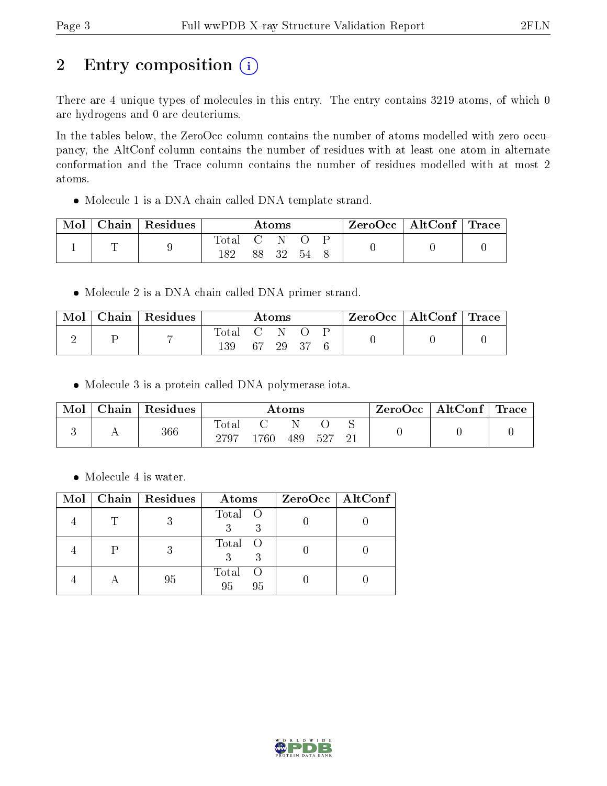## 2 Entry composition (i)

There are 4 unique types of molecules in this entry. The entry contains 3219 atoms, of which 0 are hydrogens and 0 are deuteriums.

In the tables below, the ZeroOcc column contains the number of atoms modelled with zero occupancy, the AltConf column contains the number of residues with at least one atom in alternate conformation and the Trace column contains the number of residues modelled with at most 2 atoms.

Molecule 1 is a DNA chain called DNA template strand.

| Mol | $ $ Chain $ $ Residues | Atoms |            |    | $\text{ZeroOcc} \mid \text{AltConf} \mid \text{Trace} \mid$ |  |  |  |
|-----|------------------------|-------|------------|----|-------------------------------------------------------------|--|--|--|
|     |                        | Total | <b>C</b> 1 |    |                                                             |  |  |  |
|     |                        | 182   |            | 32 | -54                                                         |  |  |  |

• Molecule 2 is a DNA chain called DNA primer strand.

| Mol | Chain   Residues | $\rm{Atoms}$ |    |    | $ZeroOcc \   \ AltConf \  $ | $\perp$ Trace |  |  |
|-----|------------------|--------------|----|----|-----------------------------|---------------|--|--|
|     |                  | Total<br>139 | 67 | 29 |                             |               |  |  |

Molecule 3 is a protein called DNA polymerase iota.

| Mol | Chain   Residues | $\rm{Atoms}$  |      |     | $\text{ZeroOcc} \mid \text{AltConf} \mid \text{Trace} \mid$ |  |  |  |
|-----|------------------|---------------|------|-----|-------------------------------------------------------------|--|--|--|
|     | 366              | Total<br>2797 | 1760 | 489 | 527                                                         |  |  |  |

• Molecule 4 is water.

|  | Mol   Chain   Residues | Atoms             | ZeroOcc   AltConf |
|--|------------------------|-------------------|-------------------|
|  |                        | Total O<br>3      |                   |
|  |                        | Total O           |                   |
|  | 95                     | Total<br>95<br>95 |                   |

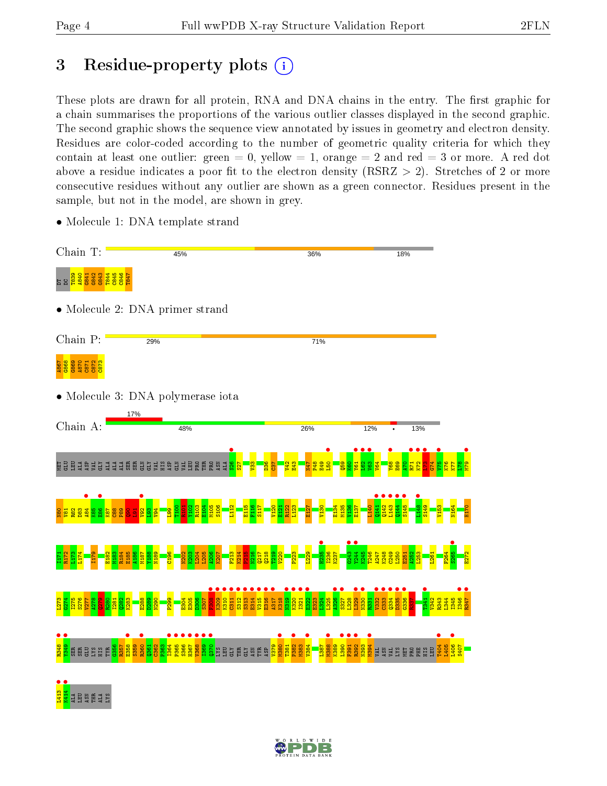## 3 Residue-property plots  $(i)$

These plots are drawn for all protein, RNA and DNA chains in the entry. The first graphic for a chain summarises the proportions of the various outlier classes displayed in the second graphic. The second graphic shows the sequence view annotated by issues in geometry and electron density. Residues are color-coded according to the number of geometric quality criteria for which they contain at least one outlier: green  $= 0$ , yellow  $= 1$ , orange  $= 2$  and red  $= 3$  or more. A red dot above a residue indicates a poor fit to the electron density (RSRZ  $> 2$ ). Stretches of 2 or more consecutive residues without any outlier are shown as a green connector. Residues present in the sample, but not in the model, are shown in grey.

• Molecule 1: DNA template strand

| Chain T:                                                                                  | 45%                                                                                                                            | 36%                                                                | 18%                                                  |            |
|-------------------------------------------------------------------------------------------|--------------------------------------------------------------------------------------------------------------------------------|--------------------------------------------------------------------|------------------------------------------------------|------------|
| <del>ភូមិ មិន</del><br>មិន មិន មិន មិន<br>មិន មិន មិន មិន ដ                               |                                                                                                                                |                                                                    |                                                      |            |
|                                                                                           | $\bullet$ Molecule 2: DNA primer strand                                                                                        |                                                                    |                                                      |            |
| Chain P:                                                                                  | 29%                                                                                                                            | 71%                                                                |                                                      |            |
| $rac{8}{360}$<br>$rac{8}{360}$<br>$rac{2}{360}$<br>$rac{2}{360}$<br>$rac{8}{360}$<br>A867 |                                                                                                                                |                                                                    |                                                      |            |
|                                                                                           | $\bullet$ Molecule 3: DNA polymerase iota                                                                                      |                                                                    |                                                      |            |
| Chain A:                                                                                  | 17%<br>48%                                                                                                                     | 26%                                                                | 12%<br>13%                                           |            |
| 보 <u>금</u> 보<br>Ĕ                                                                         | <b>EEE</b><br><b>RERS</b><br>ŠБ<br>园                                                                                           |                                                                    |                                                      |            |
| <b>88d</b><br><b>密</b>                                                                    |                                                                                                                                |                                                                    |                                                      |            |
|                                                                                           | ខ្លួ                                                                                                                           |                                                                    | 1244<br>1245<br><b>angan</b><br>Bangan               |            |
|                                                                                           | 312<br>3313<br>311                                                                                                             | <b>1315</b><br>E316<br>314<br><b>A</b><br>318<br>$\frac{320}{200}$ | 332                                                  | <b>Pst</b> |
| <b>ggazge</b>                                                                             | <b>1357</b><br>1358<br>1360<br>1360<br>1362<br><b>2864</b><br>2864<br>2865<br>386<br>1367<br>国<br>22<br><b>USW</b><br>KTD<br>圉 | $\overline{39}$<br>Ĕ<br>38<br>5P                                   | <b>PS</b><br>$\overline{39}$<br>89<br>ЯH<br>ធ្វ<br>핁 |            |
| SX.7<br>Ę<br>ត្                                                                           |                                                                                                                                |                                                                    |                                                      |            |

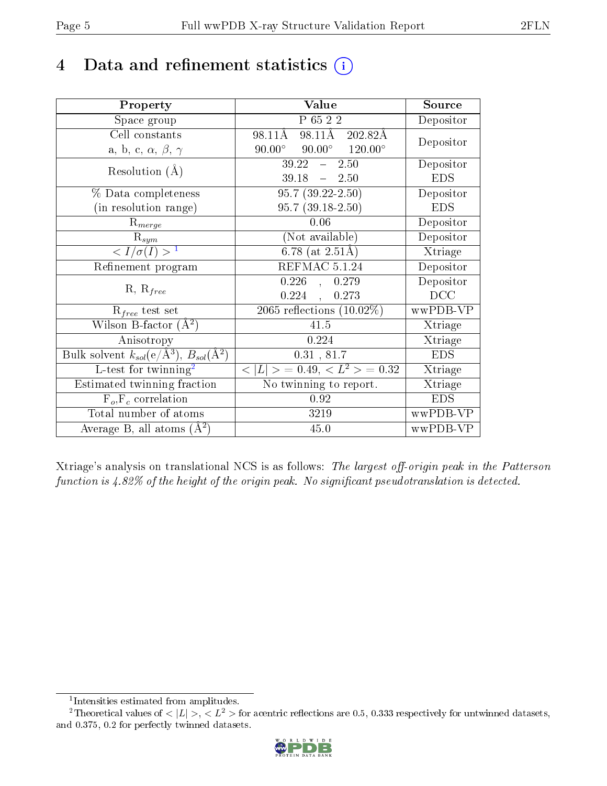## 4 Data and refinement statistics  $(i)$

| Property                                                         | Value                                            | Source     |
|------------------------------------------------------------------|--------------------------------------------------|------------|
| Space group                                                      | P 65 2 2                                         | Depositor  |
| Cell constants                                                   | 98.11Å 202.82Å<br>98.11Å                         | Depositor  |
| a, b, c, $\alpha$ , $\beta$ , $\gamma$                           | $90.00^{\circ}$ $90.00^{\circ}$ $120.00^{\circ}$ |            |
| Resolution $(A)$                                                 | $39.22 - 2.50$                                   | Depositor  |
|                                                                  | $-2.50$<br>39.18                                 | <b>EDS</b> |
| % Data completeness                                              | $95.7(39.22-2.50)$                               | Depositor  |
| (in resolution range)                                            | $95.7(39.18-2.50)$                               | <b>EDS</b> |
| $R_{merge}$                                                      | 0.06                                             | Depositor  |
| $\mathrm{R}_{sym}$                                               | (Not available)                                  | Depositor  |
| $\langle I/\sigma(I) \rangle^{-1}$                               | 6.78 (at $2.51\text{\AA}$ )                      | Xtriage    |
| Refinement program                                               | REFMAC 5.1.24                                    | Depositor  |
|                                                                  | $0.226$ ,<br>0.279                               | Depositor  |
| $R, R_{free}$                                                    | 0.224,<br>0.273                                  | DCC        |
| $\mathcal{R}_{free}$ test set                                    | 2065 reflections $(10.02\%)$                     | wwPDB-VP   |
| Wilson B-factor $(A^2)$                                          | 41.5                                             | Xtriage    |
| Anisotropy                                                       | 0.224                                            | Xtriage    |
| Bulk solvent $k_{sol}(\text{e}/\text{A}^3), B_{sol}(\text{A}^2)$ | 0.31, 81.7                                       | <b>EDS</b> |
| L-test for twinning <sup>2</sup>                                 | $< L >$ = 0.49, $< L^2 >$ = 0.32                 | Xtriage    |
| Estimated twinning fraction                                      | No twinning to report.                           | Xtriage    |
| $F_o, F_c$ correlation                                           | 0.92                                             | <b>EDS</b> |
| Total number of atoms                                            | 3219                                             | wwPDB-VP   |
| Average B, all atoms $(A^2)$                                     | 45.0                                             | wwPDB-VP   |

Xtriage's analysis on translational NCS is as follows: The largest off-origin peak in the Patterson function is  $4.82\%$  of the height of the origin peak. No significant pseudotranslation is detected.

<sup>&</sup>lt;sup>2</sup>Theoretical values of  $\langle |L| \rangle$ ,  $\langle L^2 \rangle$  for acentric reflections are 0.5, 0.333 respectively for untwinned datasets, and 0.375, 0.2 for perfectly twinned datasets.



<span id="page-4-1"></span><span id="page-4-0"></span><sup>1</sup> Intensities estimated from amplitudes.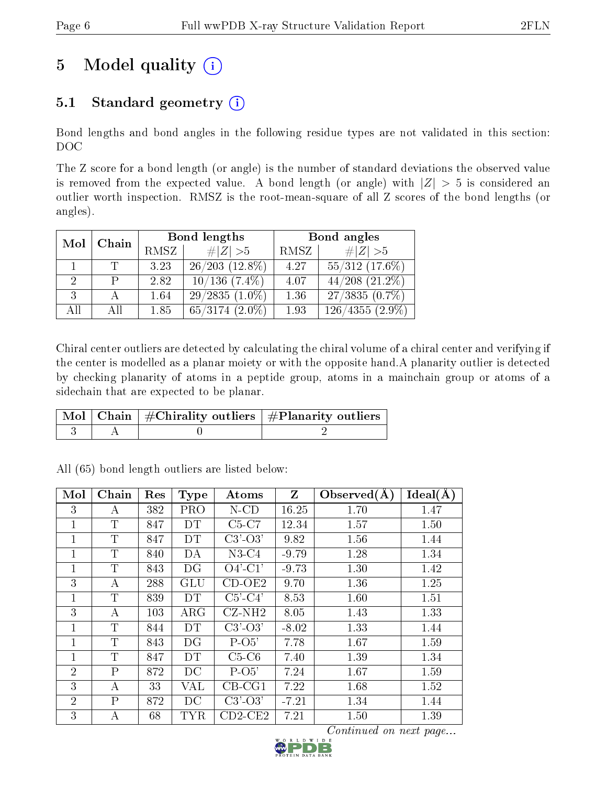## 5 Model quality  $(i)$

## 5.1 Standard geometry  $(i)$

Bond lengths and bond angles in the following residue types are not validated in this section: DOC

The Z score for a bond length (or angle) is the number of standard deviations the observed value is removed from the expected value. A bond length (or angle) with  $|Z| > 5$  is considered an outlier worth inspection. RMSZ is the root-mean-square of all Z scores of the bond lengths (or angles).

| Mol | Chain |      | Bond lengths        | Bond angles |                               |  |
|-----|-------|------|---------------------|-------------|-------------------------------|--|
|     |       | RMSZ | # $ Z >5$           | RMSZ        | # $ Z >5$                     |  |
|     | T     | 3.23 | $26/203$ $(12.8\%)$ | 4.27        | $55/312$ (17.6%)              |  |
| 2.  | P     | 2.82 | $10/136$ $(7.4\%)$  | 4.07        | $44/208$ $(21.2\%)$           |  |
| 3   |       | 1.64 | $29/2835(1.0\%)$    | 1.36        | $27/3835(0.7\%)$              |  |
| All | All   | 1.85 | $65/3174$ $(2.0\%)$ | 1.93        | $\overline{126/4355 (2.9\%)}$ |  |

Chiral center outliers are detected by calculating the chiral volume of a chiral center and verifying if the center is modelled as a planar moiety or with the opposite hand.A planarity outlier is detected by checking planarity of atoms in a peptide group, atoms in a mainchain group or atoms of a sidechain that are expected to be planar.

|  | $\lceil \, \text{Mol} \, \rceil$ Chain $\mid \# \text{Chirality outliers} \mid \# \text{Planarity outliers} \mid$ |
|--|-------------------------------------------------------------------------------------------------------------------|
|  |                                                                                                                   |

| Mol            | Chain          | Res | <b>Type</b> | Atoms         | Z       | Observed $(A)$ | Ideal(A) |
|----------------|----------------|-----|-------------|---------------|---------|----------------|----------|
| 3              | А              | 382 | <b>PRO</b>  | $N$ -CD       | 16.25   | 1.70           | 1.47     |
| 1              | T              | 847 | DT          | $C5-C7$       | 12.34   | 1.57           | 1.50     |
| 1              | $\mathbf T$    | 847 | DT          | $C3'-O3'$     | 9.82    | 1.56           | 1.44     |
| 1              | T              | 840 | DA          | $N3-C4$       | $-9.79$ | 1.28           | 1.34     |
| $\overline{1}$ | $\mathbf T$    | 843 | DG          | $O4'$ -C1'    | $-9.73$ | 1.30           | 1.42     |
| 3              | А              | 288 | <b>GLU</b>  | $CD-OE2$      | 9.70    | 1.36           | 1.25     |
| 1              | T              | 839 | <b>DT</b>   | $C5'-C4'$     | 8.53    | 1.60           | 1.51     |
| 3              | А              | 103 | $\rm{ARG}$  | $CZ-NH2$      | 8.05    | 1.43           | 1.33     |
| 1              | T              | 844 | <b>DT</b>   | $C3'$ - $O3'$ | $-8.02$ | 1.33           | 1.44     |
| 1              | $\mathbf T$    | 843 | DG          | $P-O5'$       | 7.78    | 1.67           | 1.59     |
| $\overline{1}$ | T              | 847 | DT          | $C5-C6$       | 7.40    | 1.39           | 1.34     |
| $\overline{2}$ | $\overline{P}$ | 872 | DC          | $P-O5'$       | 7.24    | 1.67           | 1.59     |
| 3              | А              | 33  | VAL         | $CB-CG1$      | 7.22    | 1.68           | 1.52     |
| $\overline{2}$ | P              | 872 | DC          | $C3'-O3'$     | $-7.21$ | 1.34           | 1.44     |
| 3              | А              | 68  | <b>TYR</b>  | $CD2-CE2$     | 7.21    | 1.50           | 1.39     |

All (65) bond length outliers are listed below:

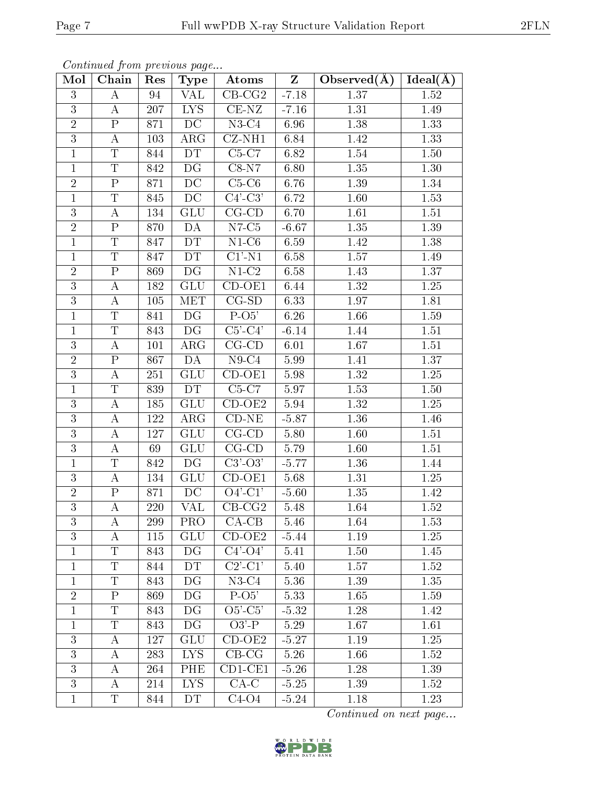| Mol            | Chain                   | Res | Type                     | Atoms                               | $\mathbf{Z}$ | Observed $(\AA)$ | Ideal( $\overline{A}$ ) |
|----------------|-------------------------|-----|--------------------------|-------------------------------------|--------------|------------------|-------------------------|
| 3              | А                       | 94  | VAL                      | $CB-CG2$                            | $-7.18$      | 1.37             | 1.52                    |
| 3              | А                       | 207 | <b>LYS</b>               | $CE-NZ$                             | $-7.16$      | 1.31             | 1.49                    |
| $\overline{2}$ | $\overline{P}$          | 871 | $\overline{DC}$          | $N3-C4$                             | 6.96         | 1.38             | 1.33                    |
| 3              | А                       | 103 | $\rm{ARG}$               | $CZ-NH1$                            | 6.84         | 1.42             | 1.33                    |
| $\mathbf 1$    | T                       | 844 | <b>DT</b>                | $C5-C7$                             | 6.82         | 1.54             | 1.50                    |
| $\mathbf{1}$   | $\overline{\mathrm{T}}$ | 842 | DG                       | $C8-N7$                             | 6.80         | 1.35             | 1.30                    |
| $\sqrt{2}$     | ${\bf P}$               | 871 | DC                       | $C5-C6$                             | 6.76         | 1.39             | 1.34                    |
| $\mathbf{1}$   | $\overline{\text{T}}$   | 845 | $\overline{DC}$          | $C4'-C3'$                           | 6.72         | 1.60             | 1.53                    |
| 3              | $\boldsymbol{A}$        | 134 | <b>GLU</b>               | $CG$ - $CD$                         | 6.70         | 1.61             | 1.51                    |
| $\overline{2}$ | $\overline{\mathrm{P}}$ | 870 | DA                       | $N7-C5$                             | $-6.67$      | 1.35             | 1.39                    |
| $\mathbf{1}$   | T                       | 847 | DT                       | $N1-C6$                             | 6.59         | 1.42             | 1.38                    |
| $\mathbf{1}$   | $\overline{\mathrm{T}}$ | 847 | DT                       | $C1'$ -N1                           | 6.58         | 1.57             | 1.49                    |
| $\sqrt{2}$     | $\overline{P}$          | 869 | $\overline{\mathrm{DG}}$ | $\overline{\text{N1-C2}}$           | 6.58         | 1.43             | 1.37                    |
| 3              | $\boldsymbol{A}$        | 182 | <b>GLU</b>               | $CD-OE1$                            | 6.44         | 1.32             | 1.25                    |
| $\mathbf{3}$   | А                       | 105 | MET                      | $CG-SD$                             | 6.33         | 1.97             | 1.81                    |
| $\mathbf{1}$   | T                       | 841 | DG                       | $P-O5'$                             | 6.26         | 1.66             | 1.59                    |
| $\mathbf{1}$   | $\overline{T}$          | 843 | DG                       | $C5'-C4'$                           | $-6.14$      | 1.44             | 1.51                    |
| 3              | A                       | 101 | $\rm{ARG}$               | $CG$ - $CD$                         | 6.01         | 1.67             | 1.51                    |
| $\overline{2}$ | $\mathbf P$             | 867 | DA                       | $\overline{N9}$ -C4                 | 5.99         | 1.41             | 1.37                    |
| 3              | А                       | 251 | <b>GLU</b>               | $CD-OE1$                            | 5.98         | 1.32             | 1.25                    |
| $\mathbf{1}$   | $\overline{\mathrm{T}}$ | 839 | DT                       | $C5-C7$                             | 5.97         | 1.53             | 1.50                    |
| 3              | A                       | 185 | <b>GLU</b>               | $CD-OE2$                            | 5.94         | 1.32             | 1.25                    |
| 3              | А                       | 122 | $\rm{ARG}$               | $\overline{\text{CD-NE}}$           | $-5.87$      | 1.36             | 1.46                    |
| $\mathbf{3}$   | А                       | 127 | <b>GLU</b>               | $CG$ - $CD$                         | 5.80         | 1.60             | 1.51                    |
| $\overline{3}$ | А                       | 69  | <b>GLU</b>               | $CG$ - $CD$                         | 5.79         | 1.60             | 1.51                    |
| $\mathbf{1}$   | T                       | 842 | DG                       | $C3'-O3'$                           | $-5.77$      | 1.36             | 1.44                    |
| 3              | A                       | 134 | <b>GLU</b>               | $CD-OE1$                            | 5.68         | 1.31             | 1.25                    |
| $\sqrt{2}$     | $\mathbf P$             | 871 | DC                       | $O4'$ -C1'                          | $-5.60$      | 1.35             | 1.42                    |
| $\overline{3}$ | А                       | 220 | VAL                      | $CB-CG2$                            | 5.48         | 1.64             | 1.52                    |
| 3              | А                       | 299 | <b>PRO</b>               | $CA-CB$                             | 5.46         | 1.64             | 1.53                    |
| 3              | A                       | 115 | <b>GLU</b>               | $CD-OE2$                            | $-5.44$      | 1.19             | 1.25                    |
| $\mathbf{1}$   | $\overline{T}$          | 843 | DG                       | $C4'$ - $O4'$                       | 5.41         | 1.50             | 1.45                    |
| $\mathbf{1}$   | Τ                       | 844 | <b>DT</b>                | $C2$ <sup>-</sup> $C1$ <sup>'</sup> | 5.40         | 1.57             | 1.52                    |
| $\mathbf{1}$   | T                       | 843 | $\mathop{\rm DG}$        | $N3-C4$                             | 5.36         | 1.39             | 1.35                    |
| $\overline{2}$ | $\mathbf P$             | 869 | DG                       | $P-O5'$                             | 5.33         | 1.65             | 1.59                    |
| $\mathbf{1}$   | $\mathbf T$             | 843 | DG                       | $O5'-C5'$                           | $-5.32$      | 1.28             | 1.42                    |
| $\mathbf{1}$   | T                       | 843 | DG                       | $O3'$ -P                            | 5.29         | 1.67             | 1.61                    |
| 3              | А                       | 127 | <b>GLU</b>               | $CD-OE2$                            | $-5.27$      | 1.19             | 1.25                    |
| 3              | А                       | 283 | <b>LYS</b>               | $CB-CG$                             | 5.26         | 1.66             | 1.52                    |
| 3              | А                       | 264 | <b>PHE</b>               | $CD1-CE1$                           | $-5.26$      | 1.28             | 1.39                    |
| 3              | Α                       | 214 | <b>LYS</b>               | $CA-C$                              | $-5.25$      | 1.39             | 1.52                    |
| $\mathbf{1}$   | $\overline{\mathrm{T}}$ | 844 | DT                       | $C4-O4$                             | $-5.24$      | 1.18             | 1.23                    |

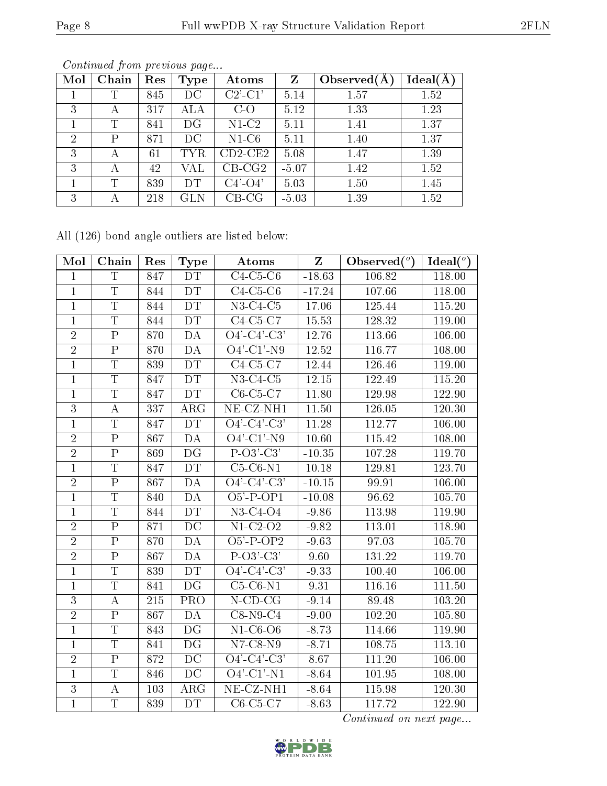| Mol            | Chain        | Res | <b>Type</b> | Atoms         | Z       | Observed $(A$ | Ideal(A) |
|----------------|--------------|-----|-------------|---------------|---------|---------------|----------|
|                | T            | 845 | DС          | $C2'$ - $C1'$ | 5.14    | 1.57          | 1.52     |
| 3              | А            | 317 | ALA         | $C-O$         | 5.12    | 1.33          | 1.23     |
|                | T            | 841 | DG          | $N1-C2$       | 5.11    | 1.41          | 1.37     |
| $\overline{2}$ | $\mathsf{P}$ | 871 | DC          | $N1-C6$       | 5.11    | 1.40          | 1.37     |
| 3              | А            | 61  | <b>TYR</b>  | $CD2$ -CE2    | 5.08    | 1.47          | 1.39     |
| 3              | А            | 42  | VAL         | $CB-CG2$      | $-5.07$ | 1.42          | 1.52     |
|                | T            | 839 | DТ          | $C4'$ - $O4'$ | 5.03    | 1.50          | 1.45     |
| 3              | А            | 218 | GLN         | $CB-CG$       | $-5.03$ | 1.39          | 1.52     |

Continued from previous page...

All (126) bond angle outliers are listed below:

| Mol            | Chain                   | Res              | <b>Type</b>              | Atoms                                     | Z        | Observed $(°)$      | Ideal $(°)$ |
|----------------|-------------------------|------------------|--------------------------|-------------------------------------------|----------|---------------------|-------------|
| $\mathbf{1}$   | $\overline{\mathrm{T}}$ | $\overline{847}$ | DT                       | $C4-C5-C6$                                | $-18.63$ | 106.82              | 118.00      |
| $\mathbf{1}$   | $\overline{T}$          | 844              | DT                       | $C4-C5-C6$                                | $-17.24$ | 107.66              | 118.00      |
| $\overline{1}$ | $\overline{\mathrm{T}}$ | 844              | DT                       | $N3-C4-C5$                                | 17.06    | 125.44              | 115.20      |
| $\mathbf{1}$   | $\overline{\mathrm{T}}$ | 844              | DT                       | $\overline{\text{C4-C5-C7}}$              | 15.53    | 128.32              | 119.00      |
| $\overline{2}$ | $\overline{\mathrm{P}}$ | 870              | DA                       | $\overline{O4'-C4'-C3'}$                  | 12.76    | 113.66              | 106.00      |
| $\overline{2}$ | $\overline{P}$          | 870              | $\overline{DA}$          | $\overline{O4'$ - $C1'$ - $\overline{N9}$ | 12.52    | 116.77              | 108.00      |
| $\mathbf 1$    | T                       | 839              | <b>DT</b>                | $C4-C5-C7$                                | 12.44    | 126.46              | 119.00      |
| $\overline{1}$ | $\overline{T}$          | 847              | DT                       | $N3-C4-C5$                                | 12.15    | 122.49              | 115.20      |
| $\mathbf{1}$   | $\overline{T}$          | 847              | DT                       | $C6-C5-C7$                                | 11.80    | 129.98              | 122.90      |
| $\overline{3}$ | $\boldsymbol{A}$        | 337              | $\overline{\rm{ARG}}$    | $NE$ -CZ-NH1                              | 11.50    | 126.05              | 120.30      |
| $\overline{1}$ | $\overline{T}$          | 847              | DT                       | $\overline{O4'-C4'-C3'}$                  | 11.28    | 112.77              | 106.00      |
| $\overline{2}$ | ${\bf P}$               | 867              | DA                       | $\overline{O4'-C1'-N9}$                   | 10.60    | 115.42              | 108.00      |
| $\overline{2}$ | $\overline{P}$          | 869              | $\overline{\mathrm{DG}}$ | $\overline{P-O3'-C3'}$                    | $-10.35$ | $107.\overline{28}$ | 119.70      |
| $\overline{1}$ | $\overline{\mathrm{T}}$ | 847              | <b>DT</b>                | $C5-C6-N1$                                | 10.18    | 129.81              | 123.70      |
| $\overline{2}$ | $\overline{\mathrm{P}}$ | 867              | DA                       | $\overline{O4'-C4'-C3}$                   | $-10.15$ | 99.91               | 106.00      |
| $\overline{1}$ | $\mathbf T$             | 840              | DA                       | $O5'$ -P-OP1                              | $-10.08$ | 96.62               | 105.70      |
| $\overline{1}$ | $\overline{\mathrm{T}}$ | 844              | DT                       | $N3-C4-O4$                                | $-9.86$  | 113.98              | 119.90      |
| $\overline{2}$ | $\overline{\mathrm{P}}$ | 871              | $\overline{DC}$          | $N1-C2-O2$                                | $-9.82$  | 113.01              | 118.90      |
| $\overline{2}$ | $\overline{\mathrm{P}}$ | 870              | DA                       | $O5'$ -P-OP2                              | $-9.63$  | 97.03               | 105.70      |
| $\overline{2}$ | $\overline{\mathrm{P}}$ | 867              | DA                       | $P-O3'-C3'$                               | 9.60     | 131.22              | 119.70      |
| $\mathbf{1}$   | $\overline{T}$          | 839              | DT                       | $\overline{O4'-C4'-C3'}$                  | $-9.33$  | 100.40              | 106.00      |
| $\mathbf 1$    | $\overline{\mathrm{T}}$ | 841              | $\overline{\mathrm{DG}}$ | $C5-C6-N1$                                | 9.31     | 116.16              | 111.50      |
| 3              | $\boldsymbol{A}$        | 215              | PRO                      | $N$ -CD-CG                                | $-9.14$  | 89.48               | 103.20      |
| $\overline{2}$ | $\overline{P}$          | 867              | DA                       | $C8-N9-C4$                                | $-9.00$  | 102.20              | 105.80      |
| $\mathbf{1}$   | $\overline{T}$          | 843              | DG                       | $N1-C6-O6$                                | $-8.73$  | 114.66              | 119.90      |
| $\mathbf{1}$   | $\overline{\mathrm{T}}$ | 841              | DG                       | $N7-C8-N9$                                | $-8.71$  | 108.75              | 113.10      |
| $\overline{2}$ | $\overline{\mathrm{P}}$ | 872              | $\overline{DC}$          | $\overline{O4'-C4'-C3'}$                  | 8.67     | 111.20              | 106.00      |
| $\overline{1}$ | $\overline{T}$          | 846              | $\overline{DC}$          | $O4'$ -C1'-N1                             | $-8.64$  | 101.95              | 108.00      |
| $\overline{3}$ | $\boldsymbol{A}$        | 103              | $\rm{ARG}$               | NE-CZ-NH1                                 | $-8.64$  | 115.98              | 120.30      |
| $\overline{1}$ | $\overline{T}$          | 839              | DT                       | $C6-C5-C7$                                | $-8.63$  | 117.72              | 122.90      |

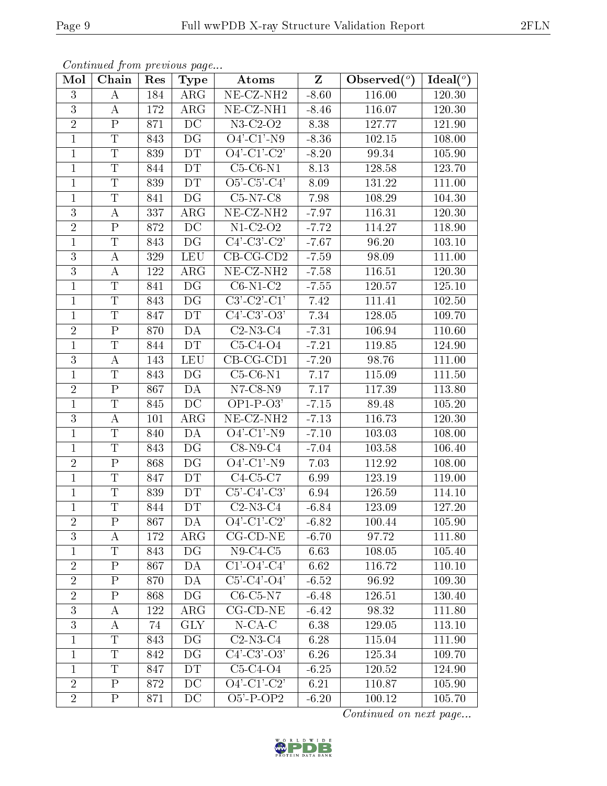| Mol                 | Continued from previous page<br>$\overline{\text{Chain}}$ | Res | <b>Type</b> | Atoms                           | Ideal( $\overline{^{\circ}}$ ) |                                                |        |
|---------------------|-----------------------------------------------------------|-----|-------------|---------------------------------|--------------------------------|------------------------------------------------|--------|
|                     |                                                           |     |             | NE-CZ-NH <sub>2</sub>           | $\overline{\mathrm{Z}}$        | Observed $\left(\overline{\phantom{a}}\right)$ |        |
| 3<br>$\overline{3}$ | A                                                         | 184 | $\rm{ARG}$  |                                 | $-8.60$                        | 116.00                                         | 120.30 |
| $\overline{2}$      | A                                                         | 172 | $\rm{ARG}$  | $NE- CZ-NH1$                    | $-8.46$                        | 116.07                                         | 120.30 |
|                     | $\mathbf{P}$<br>$\mathbf T$                               | 871 | DC          | $N3-C2-O2$<br>$O4'$ -C1'-N9     | 8.38                           | 127.77                                         | 121.90 |
| $\mathbf{1}$        |                                                           | 843 | DG          |                                 | $-8.36$                        | 102.15                                         | 108.00 |
| $\mathbf{1}$        | $\overline{\mathrm{T}}$                                   | 839 | DT.         | $O4'-C1'-C2'$                   | $-8.20$                        | 99.34                                          | 105.90 |
| $\mathbf{1}$        | $\mathbf T$                                               | 844 | <b>DT</b>   | $C5-C6-N1$                      | 8.13                           | 128.58                                         | 123.70 |
| $\overline{1}$      | $\mathbf T$                                               | 839 | <b>DT</b>   | $O5'$ -C5'-C4'                  | 8.09                           | 131.22                                         | 111.00 |
| $\mathbf{1}$        | $\overline{T}$                                            | 841 | DG          | $C5-N7-C8$                      | 7.98                           | 108.29                                         | 104.30 |
| 3                   | $\bf{A}$                                                  | 337 | $\rm{ARG}$  | NE-CZ-NH <sub>2</sub>           | $-7.97$                        | 116.31                                         | 120.30 |
| $\overline{2}$      | $\mathbf{P}$                                              | 872 | DC          | $N1-C2-O2$                      | $-7.72$                        | 114.27                                         | 118.90 |
| $\mathbf{1}$        | $\mathbf T$                                               | 843 | DG          | $\overline{C4'-C3'-C2'}$        | $-7.67$                        | 96.20                                          | 103.10 |
| $\overline{3}$      | $\boldsymbol{A}$                                          | 329 | <b>LEU</b>  | $CB-CG-CD2$                     | $-7.59$                        | 98.09                                          | 111.00 |
| $\overline{3}$      | $\boldsymbol{A}$                                          | 122 | $\rm{ARG}$  | NE-CZ-NH <sub>2</sub>           | $-7.58$                        | 116.51                                         | 120.30 |
| $\mathbf{1}$        | T                                                         | 841 | DG          | $C6-N1-C2$                      | $-7.55$                        | 120.57                                         | 125.10 |
| $\mathbf{1}$        | $\overline{T}$                                            | 843 | DG          | $\overline{\text{C3'-C2'-C1'}}$ | 7.42                           | 111.41                                         | 102.50 |
| $\mathbf{1}$        | T                                                         | 847 | <b>DT</b>   | $C4'$ -C3'-O3'                  | 7.34                           | 128.05                                         | 109.70 |
| $\overline{2}$      | $\overline{\mathrm{P}}$                                   | 870 | DA          | $C2-N3-C4$                      | $-7.31$                        | 106.94                                         | 110.60 |
| 1                   | $\mathbf T$                                               | 844 | DT          | $C5-C4-O4$                      | $-7.21$                        | 119.85                                         | 124.90 |
| 3                   | А                                                         | 143 | <b>LEU</b>  | $CB-CG-CD1$                     | $-7.20$                        | 98.76                                          | 111.00 |
| $\mathbf{1}$        | $\mathbf T$                                               | 843 | DG          | $C5-C6-N1$                      | 7.17                           | 115.09                                         | 111.50 |
| $\overline{2}$      | $\mathbf{P}$                                              | 867 | DA          | N7-C8-N9                        | 7.17                           | 117.39                                         | 113.80 |
| $\mathbf{1}$        | $\mathbf T$                                               | 845 | DC          | $OP1-P-O3'$                     | $-7.15$                        | 89.48                                          | 105.20 |
| 3                   | $\boldsymbol{A}$                                          | 101 | $\rm{ARG}$  | NE-CZ-NH <sub>2</sub>           | $-7.13$                        | 116.73                                         | 120.30 |
| $\mathbf{1}$        | $\overline{\mathrm{T}}$                                   | 840 | DA          | $\overline{O4'-C1'-N9}$         | $-7.10$                        | 103.03                                         | 108.00 |
| $\mathbf{1}$        | $\mathbf T$                                               | 843 | DG          | $C8-N9-C4$                      | $-7.04$                        | 103.58                                         | 106.40 |
| $\overline{2}$      | $\mathbf P$                                               | 868 | DG          | $O4'$ -C1'-N9                   | 7.03                           | 112.92                                         | 108.00 |
| $\mathbf{1}$        | $\overline{T}$                                            | 847 | <b>DT</b>   | $C4-C5-C7$                      | 6.99                           | 123.19                                         | 119.00 |
| $\mathbf{1}$        | $\mathbf T$                                               | 839 | <b>DT</b>   | $C5'-C4'-C3'$                   | 6.94                           | 126.59                                         | 114.10 |
| $\mathbf{1}$        | $\mathbf T$                                               | 844 | DT          | $C2-N3-C4$                      | $-6.84$                        | 123.09                                         | 127.20 |
| $\overline{2}$      | $\mathbf{P}$                                              | 867 | DA          | $O4'-C1'-C2'$                   | $-6.82$                        | 100.44                                         | 105.90 |
| $\mathbf{3}$        | A                                                         | 172 | $\rm{ARG}$  | $CG$ - $CD$ - $NE$              | $-6.70$                        | 97.72                                          | 111.80 |
| $\mathbf{1}$        | $\overline{T}$                                            | 843 | DG          | $N9-C4-C5$                      | 6.63                           | 108.05                                         | 105.40 |
| $\overline{2}$      | $\mathbf P$                                               | 867 | DA          | $C1'$ -O4'-C4'                  | 6.62                           | 116.72                                         | 110.10 |
| $\overline{2}$      | $\mathbf P$                                               | 870 | DA          | $C5'-C4'-O4'$                   | $-6.52$                        | 96.92                                          | 109.30 |
| $\overline{2}$      | $\mathbf P$                                               | 868 | DG          | $C6-C5-N7$                      | $-6.48$                        | 126.51                                         | 130.40 |
| $\overline{3}$      | А                                                         | 122 | $\rm{ARG}$  | $CG$ - $CD$ - $NE$              | $-6.42$                        | $98.\overline{32}$                             | 111.80 |
| $\overline{3}$      | A                                                         | 74  | <b>GLY</b>  | $N$ -CA-C                       | 6.38                           | 129.05                                         | 113.10 |
| $\mathbf 1$         | T                                                         | 843 | DG          | $C2-N3-C4$                      | 6.28                           | 115.04                                         | 111.90 |
| $\mathbf{1}$        | T                                                         | 842 | DG          | $C4'$ - $C3'$ - $O3'$           | 6.26                           | 125.34                                         | 109.70 |
| $\mathbf{1}$        | T                                                         | 847 | DT          | $C5-C4-O4$                      | $-6.25$                        | 120.52                                         | 124.90 |
| $\overline{2}$      | $\mathbf{P}$                                              | 872 | DC          | $O4'$ -C1'-C2'                  | 6.21                           | 110.87                                         | 105.90 |
| $\overline{2}$      | $\mathbf{P}$                                              | 871 | DC          | $O5'$ -P-OP2                    | $-6.20$                        | 100.12                                         | 105.70 |

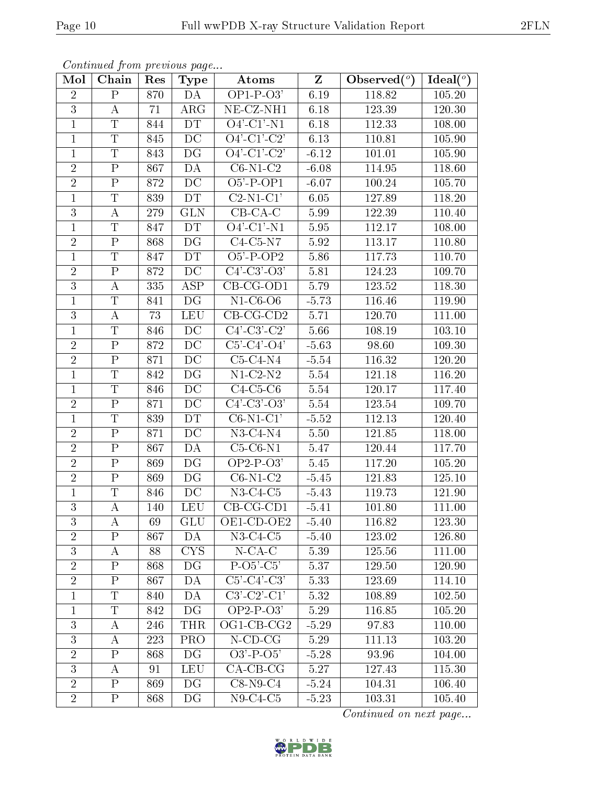| Mol            | Continuea from previous page<br>Chain | Res              | <b>Type</b>              | Atoms                            | $\mathbf{Z}$ | Observed $(°)$ | Ideal $(°)$ |
|----------------|---------------------------------------|------------------|--------------------------|----------------------------------|--------------|----------------|-------------|
| $\overline{2}$ | $\mathbf P$                           | 870              | DA                       | $OP1-P-03'$                      | 6.19         | 118.82         | 105.20      |
| 3              | А                                     | 71               | $\rm{ARG}$               | NE-CZ-NH1                        | 6.18         | 123.39         | 120.30      |
| $\mathbf{1}$   | $\overline{\mathrm{T}}$               | 844              | DT                       | $O4'$ -C1'-N1                    | 6.18         | 112.33         | 108.00      |
| $\mathbf{1}$   | Τ                                     | 845              | DC                       | $O4'-C1'-C2'$                    | 6.13         | 110.81         | 105.90      |
| $\overline{1}$ | $\overline{\mathrm{T}}$               | $\overline{843}$ | $\overline{\mathrm{DG}}$ | $\overline{O4'-C1'-C2'}$         | $-6.12$      | 101.01         | 105.90      |
| $\overline{2}$ | ${\bf P}$                             | 867              | DA                       | $C6-N1-C2$                       | $-6.08$      | 114.95         | 118.60      |
| $\overline{2}$ | ${\bf P}$                             | 872              | DC                       | $O5'$ -P-OP1                     | $-6.07$      | 100.24         | 105.70      |
| $\mathbf{1}$   | T                                     | 839              | DT                       | $C2-N1-C1'$                      | 6.05         | 127.89         | 118.20      |
| $\overline{3}$ | A                                     | 279              | <b>GLN</b>               | $CB-CA-C$                        | 5.99         | 122.39         | 110.40      |
| $\mathbf{1}$   | $\overline{\mathrm{T}}$               | 847              | DT                       | $O4'$ -C1'-N1                    | 5.95         | 112.17         | 108.00      |
| $\overline{2}$ | ${\bf P}$                             | 868              | DG                       | $C4-C5-N7$                       | 5.92         | 113.17         | 110.80      |
| $\mathbf{1}$   | $\overline{\mathrm{T}}$               | 847              | DT                       | $\overline{O5' - P}$ - $OP2$     | 5.86         | 117.73         | 110.70      |
| $\overline{2}$ | ${\bf P}$                             | 872              | DC                       | $C4'-C3'-O3'$                    | 5.81         | 124.23         | 109.70      |
| $\overline{3}$ | А                                     | 335              | ASP                      | $CB-CG-OD1$                      | 5.79         | 123.52         | 118.30      |
| $\mathbf{1}$   | $\overline{T}$                        | 841              | DG                       | $N1-C6-O6$                       | $-5.73$      | 116.46         | 119.90      |
| $\overline{3}$ | A                                     | 73               | LEU                      | $CB-CG-CD2$                      | 5.71         | 120.70         | 111.00      |
| $\mathbf{1}$   | Τ                                     | 846              | DC                       | $C4'-C3'-C2'$                    | 5.66         | 108.19         | 103.10      |
| $\overline{2}$ | ${\bf P}$                             | 872              | $\rm DC$                 | $C5'-C4'-O4'$                    | $-5.63$      | 98.60          | 109.30      |
| $\overline{2}$ | $\mathbf P$                           | 871              | DC                       | $C5-C4-N4$                       | $-5.54$      | 116.32         | 120.20      |
| $\mathbf{1}$   | T                                     | 842              | $\overline{\mathrm{DG}}$ | $N1-C2-N2$                       | $5.54\,$     | 121.18         | 116.20      |
| $\mathbf{1}$   | Τ                                     | 846              | DC                       | $C4-C5-C6$                       | 5.54         | 120.17         | 117.40      |
| $\overline{2}$ | $\overline{\mathrm{P}}$               | 871              | $\overline{DC}$          | $C4'-C3'-O3'$                    | 5.54         | 123.54         | 109.70      |
| $\mathbf{1}$   | Τ                                     | 839              | DT                       | $C6-N1-C1'$                      | $-5.52$      | 112.13         | 120.40      |
| $\overline{2}$ | $\overline{\mathrm{P}}$               | 871              | $\overline{DC}$          | $N3-C4-N4$                       | 5.50         | 121.85         | 118.00      |
| $\overline{2}$ | $\overline{P}$                        | 867              | DA                       | $C5-C6-N1$                       | 5.47         | 120.44         | 117.70      |
| $\overline{2}$ | ${\bf P}$                             | 869              | DG                       | $OP2-P-O3'$                      | $5.45\,$     | 117.20         | 105.20      |
| $\overline{2}$ | $\overline{P}$                        | 869              | DG                       | $C6-N1-C2$                       | $-5.45$      | 121.83         | 125.10      |
| $\mathbf{1}$   | T                                     | 846              | DC                       | $N3-C4-C5$                       | $-5.43$      | 119.73         | 121.90      |
| $\overline{3}$ | A                                     | 140              | LEU                      | $CB-CG-CD1$                      | $-5.41$      | <b>101.80</b>  | 111.00      |
| 3              | А                                     | 69               | GLU                      | OE1-CD-OE2                       | $-5.40$      | 116.82         | 123.30      |
| $\overline{2}$ | ${\bf P}$                             | 867              | DA                       | $N3-C4-C5$                       | $-5.40$      | 123.02         | 126.80      |
| $\overline{3}$ | А                                     | 88               | CYS                      | $N$ -CA-C                        | 5.39         | 125.56         | 111.00      |
| $\overline{2}$ | $\mathbf P$                           | 868              | DG                       | $P-O5'-C5'$                      | 5.37         | 129.50         | 120.90      |
| $\overline{2}$ | $\mathbf{P}$                          | 867              | DA                       | $C5'$ - $C4'$ - $\overline{C3'}$ | 5.33         | 123.69         | 114.10      |
| $\mathbf{1}$   | Τ                                     | 840              | DA                       | $C3'-C2'-C1'$                    | 5.32         | 108.89         | 102.50      |
| $\mathbf{1}$   | $\mathbf T$                           | 842              | DG                       | $OP2-P-O3'$                      | 5.29         | 116.85         | 105.20      |
| $\overline{3}$ | А                                     | 246              | <b>THR</b>               | OG1-CB-CG2                       | $-5.29$      | 97.83          | 110.00      |
| 3              | А                                     | 223              | <b>PRO</b>               | $N$ -CD-CG                       | 5.29         | 111.13         | 103.20      |
| $\overline{2}$ | $\mathbf P$                           | 868              | DG                       | $O3'$ -P- $O5'$                  | $-5.28$      | 93.96          | 104.00      |
| $\overline{3}$ | А                                     | 91               | <b>LEU</b>               | $CA-CB-CG$                       | 5.27         | 127.43         | 115.30      |
| $\overline{2}$ | ${\bf P}$                             | 869              | DG                       | $C8-N9-C4$                       | $-5.24$      | 104.31         | 106.40      |
| $\sqrt{2}$     | $\mathbf P$                           | 868              | DG                       | $N9-C4-C5$                       | $-5.23$      | 103.31         | 105.40      |

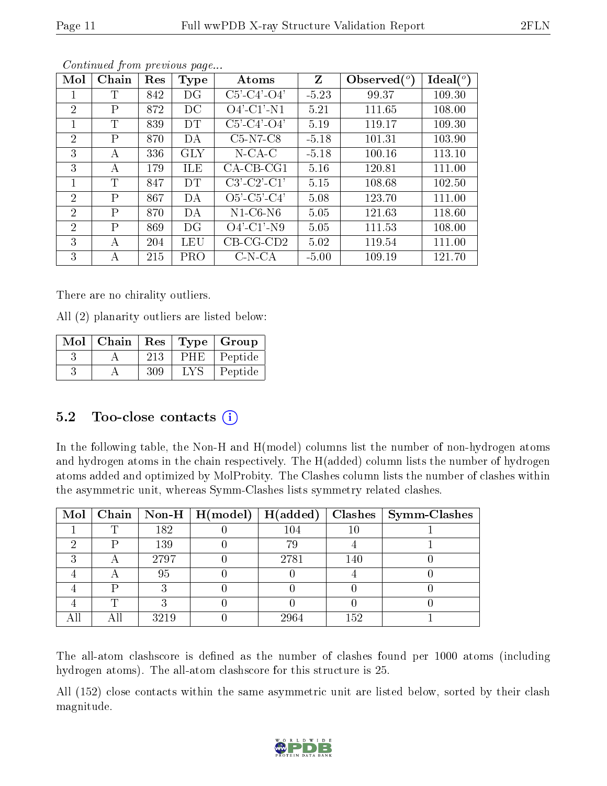| Page 11        |                              | Full wwPDB X-ray Structure Validation Report |            |                       |                 |                |          | 2FLN |  |
|----------------|------------------------------|----------------------------------------------|------------|-----------------------|-----------------|----------------|----------|------|--|
|                | Continued from previous page |                                              |            |                       |                 |                |          |      |  |
| Mol            | Chain                        | Res                                          | Type       | Atoms                 | $Z_{\parallel}$ | Observed $(°)$ | Ideal(°) |      |  |
| 1              | Τ                            | 842                                          | DG         | $C5'$ - $C4'$ - $O4'$ | $-5.23$         | 99.37          | 109.30   |      |  |
| $\overline{2}$ | $\rm P$                      | 872                                          | DC         | $O4'$ -C1'-N1         | 5.21            | 111.65         | 108.00   |      |  |
| 1              | T                            | 839                                          | DT         | $C5'$ - $C4'$ - $O4'$ | 5.19            | 119.17         | 109.30   |      |  |
| $\overline{2}$ | $\mathbf{P}$                 | 870                                          | DA         | $C5-N7-C8$            | $-5.18$         | 101.31         | 103.90   |      |  |
| 3              | A                            | 336                                          | <b>GLY</b> | $N$ -CA-C             | $-5.18$         | 100.16         | 113.10   |      |  |
| 3              | А                            | 179                                          | <b>ILE</b> | $CA-CB-CG1$           | 5.16            | 120.81         | 111.00   |      |  |
| 1              | T                            | 847                                          | <b>DT</b>  | $C3'-C2'-C1'$         | 5.15            | 108.68         | 102.50   |      |  |
| $\overline{2}$ | $\mathbf{P}$                 | 867                                          | DA         | $O5'$ -C5'-C4'        | 5.08            | 123.70         | 111.00   |      |  |
| $\overline{2}$ | $\rm P$                      | 870                                          | DA         | $N1-C6-N6$            | 5.05            | 121.63         | 118.60   |      |  |
| $\overline{2}$ | $\mathbf{P}$                 | 869                                          | DG         | $O4'$ -C1'-N9         | 5.05            | 111.53         | 108.00   |      |  |
| 3              | А                            | 204                                          | LEU        | $CB-CG-CD2$           | 5.02            | 119.54         | 111.00   |      |  |

3 | A | 215 | PRO | C-N-CA | -5.00 | 109.19 | 121.70

There are no chirality outliers.

All (2) planarity outliers are listed below:

| Mol | Chain |     |     | Res   Type   Group |
|-----|-------|-----|-----|--------------------|
|     |       | 213 | PHE | Peptide            |
|     |       | 309 |     | Peptide            |

## 5.2 Too-close contacts  $(i)$

In the following table, the Non-H and H(model) columns list the number of non-hydrogen atoms and hydrogen atoms in the chain respectively. The H(added) column lists the number of hydrogen atoms added and optimized by MolProbity. The Clashes column lists the number of clashes within the asymmetric unit, whereas Symm-Clashes lists symmetry related clashes.

|   |      | Mol   Chain   Non-H   H(model)   H(added) |         |     | Clashes   Symm-Clashes |
|---|------|-------------------------------------------|---------|-----|------------------------|
|   | 182  |                                           | $104\,$ |     |                        |
| D | 139  |                                           | 79      |     |                        |
|   | 2797 |                                           | 2781    | 140 |                        |
|   | 95   |                                           |         |     |                        |
|   |      |                                           |         |     |                        |
| ╓ |      |                                           |         |     |                        |
|   | 3219 |                                           | 2964    | 152 |                        |

The all-atom clashscore is defined as the number of clashes found per 1000 atoms (including hydrogen atoms). The all-atom clashscore for this structure is 25.

All (152) close contacts within the same asymmetric unit are listed below, sorted by their clash magnitude.

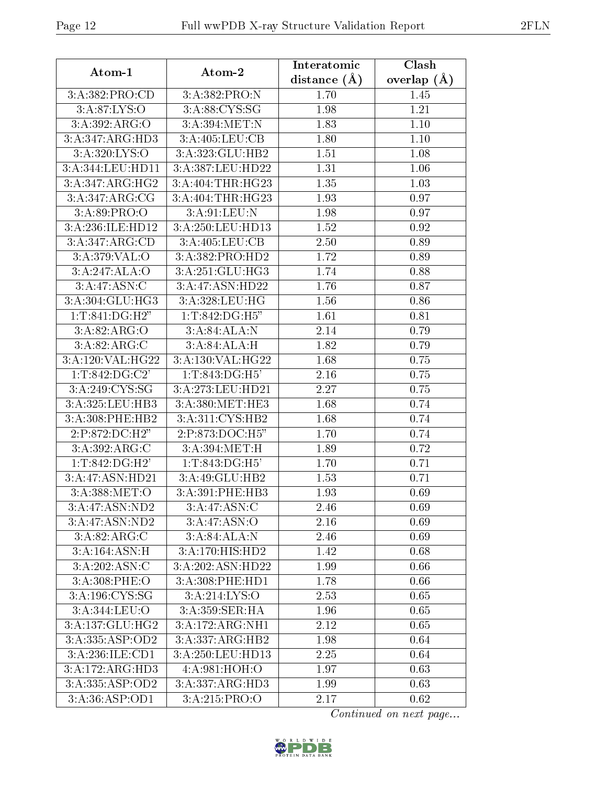| Atom-1                        | Atom-2                       | Interatomic    | Clash         |  |
|-------------------------------|------------------------------|----------------|---------------|--|
|                               |                              | distance $(A)$ | overlap $(A)$ |  |
| 3:A:382:PRO:CD                | 3:A:382:PRO:N                | 1.70           | 1.45          |  |
| 3:A:87:LYS:O                  | 3:A:88:CYS:SG                | 1.98           | 1.21          |  |
| 3: A:392: ARG:O               | 3:A:394:MET:N                | 1.83           | 1.10          |  |
| 3:A:347:ARG:HD3               | 3:A:405:LEU:CB               | 1.80           | 1.10          |  |
| $3:$ A:320:LYS:O              | 3:A:323:GLU:HB2              | 1.51           | 1.08          |  |
| 3:A:344:LEU:HD11              | 3:A:387:LEU:HD22             | 1.31           | 1.06          |  |
| 3:A:347:ARG:HG2               | 3:A:404:THR:HG23             | 1.35           | 1.03          |  |
| 3:A:347:ARG:CG                | 3:A:404:THR:HG23             | 1.93           | 0.97          |  |
| 3: A:89: PRO:O                | 3:A:91:LEU:N                 | 1.98           | 0.97          |  |
| 3:A:236:ILE:HD12              | 3:A:250:LEU:HD13             | 1.52           | 0.92          |  |
| 3:A:347:ARG:CD                | 3:A:405:LEU:CB               | 2.50           | 0.89          |  |
| 3:A:379:VAL:O                 | 3:A:382:PRO:HD2              | 1.72           | 0.89          |  |
| 3:A:247:ALA:O                 | 3:A:251:GLU:HG3              | 1.74           | 0.88          |  |
| 3:A:47:ASN:C                  | 3:A:47:ASN:HD22              | 1.76           | 0.87          |  |
| $3:A:304:GL\overline{U:HG3}$  | 3:A:328:LEU:HG               | 1.56           | 0.86          |  |
| $1: T:841: \overline{DG:H2"}$ | 1:T:842:DG:H5"               | 1.61           | 0.81          |  |
| 3:A:82:ARG:O                  | 3:A:84:ALA:N                 | 2.14           | 0.79          |  |
| 3:A:82:ARG:C                  | 3:A:84:ALA:H                 | 1.82           | 0.79          |  |
| 3:A:120:VAL:HG22              | 3:A:130:VAL:HG22             | 1.68           | 0.75          |  |
| 1:T:842:DG:C2'                | $1:T:843:\overline{DG:H5'}$  | 2.16           | 0.75          |  |
| 3:A:249:CYS:SG                | 3:A:273:LEU:HD21             | 2.27           | 0.75          |  |
| 3:A:325:LEU:HB3               | 3:A:380:MET:HE3              | 1.68           | 0.74          |  |
| 3:A:308:PHE:HB2               | 3:A:311:CYS:HB2              | 1.68           | 0.74          |  |
| 2:P:872:DC:H2"                | 2:P:873:DOC:H5"              | 1.70           | 0.74          |  |
| 3:A:392:ARG:C                 | 3:A:394:MET:H                | 1.89           | 0.72          |  |
| 1:T:842:DG:H2'                | 1:T:843:DG:H5'               | 1.70           | 0.71          |  |
| 3:A:47:ASN:HD21               | 3:A:49:GLU:HB2               | 1.53           | 0.71          |  |
| 3:A:388:MET:O                 | 3:A:391:PHE:HB3              | 1.93           | 0.69          |  |
| 3:A:47:ASN:ND2                | 3:A:47:ASN:C                 | 2.46           | 0.69          |  |
| 3:A:47:ASN:ND2                | 3:A:47:ASN:O                 | 2.16           | 0.69          |  |
| 3:A:82:ARG:C                  | 3:A:84:ALA:N                 | 2.46           | 0.69          |  |
| 3:A:164:ASN:H                 | $3:A:170:\overline{HIS:HD2}$ | 1.42           | 0.68          |  |
| 3:A:202:ASN:C                 | 3:A:202:ASN:HD22             | 1.99           | 0.66          |  |
| 3: A:308: PHE:O               | 3: A:308: PHE: HD1           | 1.78           | 0.66          |  |
| 3:A:196:CYS:SG                | 3:A:214:LYS:O                | 2.53           | 0.65          |  |
| 3: A:344:LEU:O                | $3: A:359:$ SER:HA           | 1.96           | 0.65          |  |
| 3:A:137:GLU:HG2               | 3:A:172:ARG:NH1              | 2.12           | 0.65          |  |
| 3:A:335:ASP:OD2               | 3:A:337:ARG:HB2              | 1.98           | 0.64          |  |
| 3:A:236:ILE:CD1               | 3:A:250:LEU:HD13             | 2.25           | 0.64          |  |
| 3:A:172:ARG:HD3               | 4:A:981:HOH:O                | 1.97           | 0.63          |  |
| 3:A:335:ASP:OD2               | 3:A:337:ARG:HD3              | 1.99           | 0.63          |  |
| 3:A:36:ASP:OD1                | 3:A:215:PRO:O                | 2.17           | 0.62          |  |

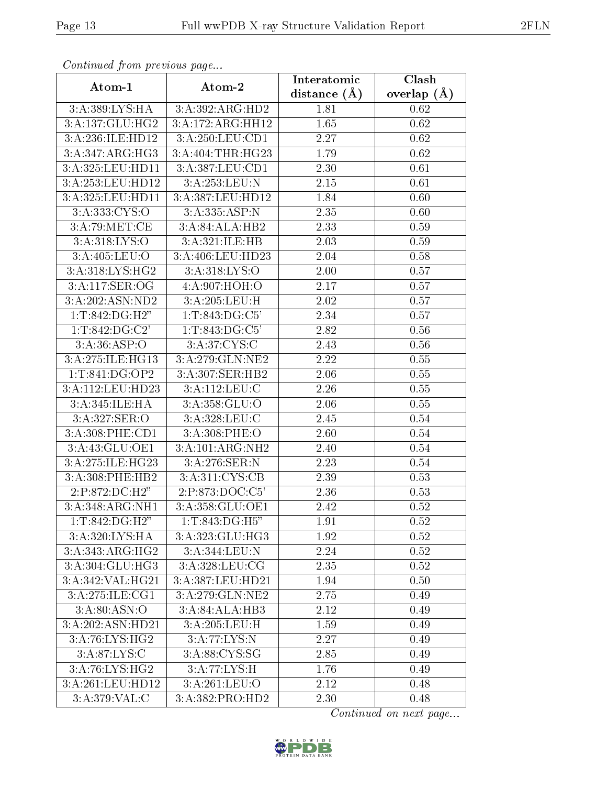| connuncu jioin previous page                            |                   | Interatomic       | $\overline{\text{Clash}}$ |
|---------------------------------------------------------|-------------------|-------------------|---------------------------|
| Atom-1                                                  | Atom-2            | distance $(A)$    | overlap $(\AA)$           |
| 3:A:389:LYS:HA                                          | 3:A:392:ARG:HD2   | 1.81              | 0.62                      |
| 3:A:137:GLU:HG2                                         | 3:A:172:ARG:HH12  | 1.65              | 0.62                      |
| 3:A:236:ILE:HD12                                        | 3:A:250:LEU:CD1   | 2.27              | 0.62                      |
| 3:A:347:ARG:HG3                                         | 3:A:404:THR:HG23  | 1.79              | 0.62                      |
| 3:A:325:LEU:HD11                                        | 3:A:387:LEU:CD1   | 2.30              | 0.61                      |
| 3:A:253:LEU:HD12                                        | 3:A:253:LEU:N     | 2.15              | 0.61                      |
| 3:A:325:LEU:HD11                                        | 3:A:387:LEU:HD12  | 1.84              | 0.60                      |
| 3:A:333:CYS:O                                           | 3:A:335:ASP:N     | 2.35              | 0.60                      |
| 3:A:79:MET:CE                                           | 3:A:84:ALA:HB2    | 2.33              | 0.59                      |
| 3:A:318:LYS:O                                           | 3:A:321:ILE:HB    | 2.03              | 0.59                      |
| 3:A:405:LEU:O                                           | 3:A:406:LEU:HD23  | 2.04              | 0.58                      |
| 3:A:318:LYS:HG2                                         | 3: A:318: LYS:O   | 2.00              | 0.57                      |
| 3:A:117:SER:OG                                          | 4:A:907:HOH:O     | 2.17              | 0.57                      |
| 3:A:202:ASN:ND2                                         |                   | 2.02              | 0.57                      |
| 1:T:842:DG:H2"                                          | 1:T:843:DG:C5'    | 2.34              | 0.57                      |
| 1: T:842: DG: C2'                                       | 1:T:843:DG:C5'    | 2.82              | 0.56                      |
| 3:A:36:ASP:O                                            | 3:A:37:CYS:C      | $2.\overline{43}$ | 0.56                      |
| 3:A:275:ILE:HG13                                        | 3:A:279:GLN:NE2   | 2.22              | $0.55\,$                  |
| 1:T:841:DG:OP2                                          | 3:A:307:SER:HB2   | 2.06              | 0.55                      |
| 3:A:112:LEU:HD23                                        | 3: A: 112: LEU: C | 2.26              | 0.55                      |
| 3:A:345:ILE:HA                                          | 3: A:358: GLU:O   | 2.06              | 0.55                      |
| 3:A:327:SER:O                                           | 3:A:328:LEU:C     | 2.45              | 0.54                      |
| 3:A:308:PHE:CD1                                         | 3:A:308:PHE:O     | 2.60              | 0.54                      |
| 3:A:43:GLU:OE1                                          | 3:A:101:ARG:NH2   | 2.40              | 0.54                      |
| 3:A:275:ILE:HG23                                        | 3:A:276:SER:N     | 2.23              | 0.54                      |
| 3:A:308:PHE:HB2                                         | 3:A:311:CYS:CB    | 2.39              | 0.53                      |
| 2:P:872:DC:H2"                                          | 2:P:873:DOC:C5    | 2.36              | 0.53                      |
| 3:A:348:ARG:NH1                                         | 3:A:358:GLU:OE1   | 2.42              | 0.52                      |
| $1: T:842:DG: \overline{H2"}$                           | 1:T:843:DG:H5"    | 1.91              | 0.52                      |
| 3:A:320:LYS:HA                                          | 3:A:323:GLU:HG3   | 1.92              | 0.52                      |
| 3:A:343:ARG:HG2                                         | 3:A:344:LEU:N     | 2.24              | 0.52                      |
| 3:A:304:GLU:HG3                                         | 3:A:328:LEU:CG    | 2.35              | 0.52                      |
| 3:A:342:VAL:HG21                                        | 3:A:387:LEU:HD21  | 1.94              | 0.50                      |
| 3:A:275:ILE:CG1                                         | 3:A:279:GLN:NE2   | 2.75              | 0.49                      |
| 3: A:80: ASN:O                                          | 3:A:84:ALA:HB3    | 2.12              | 0.49                      |
| 3:A:202:ASN:HD21                                        | 3:A:205:LEU:H     | 1.59              | 0.49                      |
| 3:A:76:LYS:HG2                                          | 3:A:77:LYS:N      | 2.27              | 0.49                      |
| $3:A:87:\text{LYS:C}$                                   | 3:A:88:CYS:SG     | 2.85              | 0.49                      |
| 3:A:76:LYS:HG2                                          | 3:A:77:LYS:H      | 1.76              | 0.49                      |
| 3:A:261:LEU:HD12                                        | 3:A:261:LEU:O     | $2.12\,$          | 0.48                      |
| $3:A:379:\overline{\mathsf{VAL}}:\overline{\mathsf{C}}$ | 3:A:382:PRO:HD2   | 2.30              | 0.48                      |

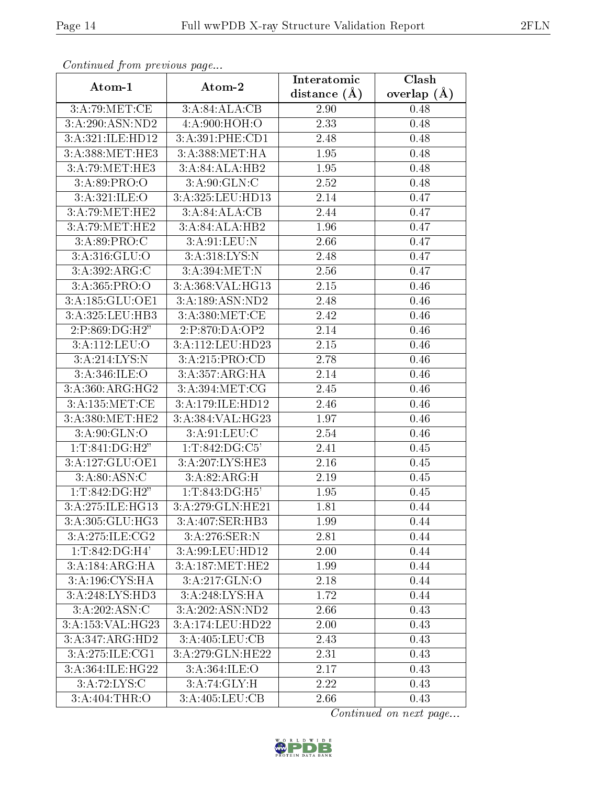| Conninuou from previous page  |                  | Interatomic    | Clash           |
|-------------------------------|------------------|----------------|-----------------|
| Atom-1                        | Atom-2           | distance $(A)$ | overlap $(\AA)$ |
| 3:A:79:MET:CE                 | 3:A:84:ALA:CB    | 2.90           | 0.48            |
| 3:A:290:ASN:ND2               | 4: A:900:HOH:O   | 2.33           | 0.48            |
| 3:A:321:ILE:HD12              | 3:A:391:PHE:CD1  | 2.48           | 0.48            |
| 3:A:388:MET:HE3               | 3:A:388:MET:HA   | 1.95           | 0.48            |
| 3:A:79:MET:HE3                | 3:A:84:ALA:HB2   | 1.95           | 0.48            |
| 3: A:89: PRO:O                | 3: A:90: GLN: C  | 2.52           | 0.48            |
| 3:A:321:ILE:O                 | 3:A:325:LEU:HD13 | 2.14           | 0.47            |
| 3:A:79:MET:HE2                | 3:A:84:ALA:CB    | 2.44           | 0.47            |
| 3:A:79:MET:HE2                | 3:A:84:ALA:HB2   | 1.96           | 0.47            |
| 3:A:89:PRO:C                  | 3:A:91:LEU:N     | 2.66           | 0.47            |
| 3:A:316:GLU:O                 | 3:A:318:LYS:N    | 2.48           | 0.47            |
| 3:A:392:ARG:C                 | 3:A:394:MET:N    | 2.56           | 0.47            |
| 3:A:365:PRO:O                 | 3:A:368:VAL:HG13 | 2.15           | 0.46            |
| 3:A:185:GLU:OE1               | 3:A:189:ASN:ND2  | 2.48           | 0.46            |
| 3:A:325:LEU:HB3               | 3:A:380:MET:CE   | 2.42           | 0.46            |
| 2:P:869:DG:H2"                | 2:P:870:DA:OP2   | 2.14           | 0.46            |
| 3:A:112:LEU:O                 | 3:A:112:LEU:HD23 | 2.15           | 0.46            |
| 3:A:214:LYS:N                 | 3:A:215:PRO:CD   | 2.78           | 0.46            |
| 3: A:346: ILE: O              | 3:A:357:ARG:HA   | 2.14           | 0.46            |
| 3: A:360:ARG:HG2              | 3: A:394: MET:CG | 2.45           | 0.46            |
| 3:A:135:MET:CE                | 3:A:179:ILE:HD12 | 2.46           | 0.46            |
| 3:A:380:MET:HE2               | 3:A:384:VAL:HG23 | 1.97           | 0.46            |
| 3: A:90: GLN:O                | 3:A:91:LEU:C     | 2.54           | 0.46            |
| 1: T:841:DG:H2"               | 1:T:842:DG:C5'   | 2.41           | 0.45            |
| 3:A:127:GLU:OE1               | 3:A:207:LYS:HE3  | 2.16           | 0.45            |
| 3:A:80:ASN:C                  | 3:A:82:ARG:H     | 2.19           | 0.45            |
| 1:T:842:DG:H2"                | 1:T:843:DG:H5'   | 1.95           | 0.45            |
| 3:A:275:ILE:HG13              | 3:A:279:GLN:HE21 | 1.81           | 0.44            |
| 3:A:305:GLU:HG3               | 3:A:407:SER:HB3  | 1.99           | 0.44            |
| 3:A:275:ILE:CG2               | 3:A:276:SER:N    | 2.81           | 0.44            |
| $1: T:842:DG:\overline{H4'}$  | 3:A:99:LEU:HD12  | 2.00           | 0.44            |
| 3:A:184:ARG:HA                | 3:A:187:MET:HE2  | 1.99           | 0.44            |
| 3:A:196:CYS:HA                | 3:A:217:GLN:O    | 2.18           | 0.44            |
| 3:A:248:LYS:HD3               | 3:A:248:LYS:HA   | 1.72           | 0.44            |
| 3:A:202:ASN:C                 | 3:A:202:ASN:ND2  | 2.66           | 0.43            |
| 3:A:153:VAL:HG23              | 3:A:174:LEU:HD22 | 2.00           | 0.43            |
| $3:A:347:ARG:H\overline{D2}$  | 3:A:405:LEU:CB   | 2.43           | 0.43            |
| $3:A:275:ILE: \overline{CG1}$ | 3:A:279:GLN:HE22 | 2.31           | 0.43            |
| 3:A:364:ILE:HG22              | 3: A:364: ILE: O | 2.17           | 0.43            |
| 3:A:72:LYS:C                  | 3:A:74:GLY:H     | 2.22           | 0.43            |
| 3:A:404:THR:O                 | 3:A:405:LEU:CB   | 2.66           | 0.43            |

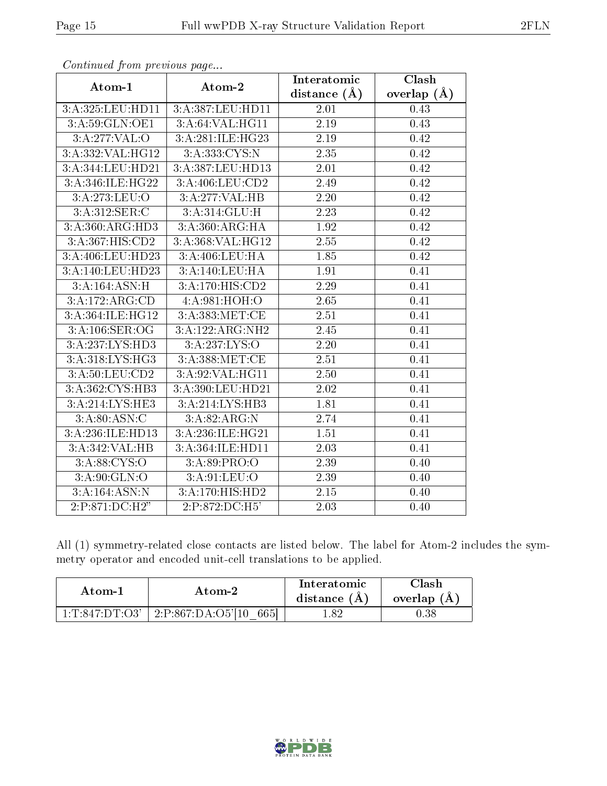| sonnanasa jioin pisensas pagsi:: |                                       | Interatomic       | Clash           |  |
|----------------------------------|---------------------------------------|-------------------|-----------------|--|
| Atom-1                           | Atom-2                                | distance $(\AA)$  | overlap $(\AA)$ |  |
| 3:A:325:LEU:HD11                 | 3:A:387:LEU:HD11                      | 2.01              | 0.43            |  |
| 3:A:59:GLN:OE1                   | $3:A:64:V\overline{\mathrm{AL:HGI1}}$ | 2.19              | 0.43            |  |
| 3:A:277:VAL:O                    | 3:A:281:ILE:HG23                      | 2.19              | 0.42            |  |
| 3:A:332:VAL:HG12                 | 3: A: 333: CYS:N                      | 2.35              | 0.42            |  |
| 3:A:344:LEU:HD21                 | 3:A:387:LEU:HD13                      | 2.01              | 0.42            |  |
| 3:A:346:ILE:HG22                 | 3:A:406:LEU:CD2                       | 2.49              | 0.42            |  |
| 3:A:273:LEU:O                    | 3:A:277:VAL:HB                        | 2.20              | 0.42            |  |
| 3:A:312:SER:C                    | 3:A:314:GLU:H                         | 2.23              | 0.42            |  |
| 3:A:360:ARG:HD3                  | 3: A:360:ARG:HA                       | 1.92              | 0.42            |  |
| 3:A:367:HIS:CD2                  | 3:A:368:VAL:HG12                      | 2.55              | 0.42            |  |
| 3:A:406:LEU:HD23                 | 3:A:406:LEU:HA                        | 1.85              | 0.42            |  |
| 3:A:140:LEU:HD23                 | 3:A:140:LEU:HA                        | 1.91              | 0.41            |  |
| 3:A:164:ASN:H                    | 3:A:170:HIS:CD2                       | 2.29              | 0.41            |  |
| 3:A:172:ARG:CD                   | 4:A:981:HOH:O                         | $\overline{2.65}$ | 0.41            |  |
| 3:A:364:ILE:H <sub>G12</sub>     | 3:A:383:MET:CE                        | 2.51              | 0.41            |  |
| 3:A:106:SER:OG                   | 3:A:122:ARG:NH2                       | 2.45              | 0.41            |  |
| 3:A:237:LYS:HD3                  | 3:A:237:LYS:O                         | 2.20              | 0.41            |  |
| 3: A:318: LYS: HG3               | 3:A:388:MET:CE                        | 2.51              | 0.41            |  |
| 3:A:50:LEU:CD2                   | 3:A:92:VAL:HG11                       | 2.50              | 0.41            |  |
| 3:A:362:CYS:HB3                  | 3:A:390:LEU:HD21                      | 2.02              | 0.41            |  |
| 3:A:214:LYS:HE3                  | 3:A:214:LYS:HB3                       | 1.81              | 0.41            |  |
| 3:A:80:ASN:C                     | 3:A:82:ARG:N                          | 2.74              | 0.41            |  |
| 3:A:236:ILE:HD13                 | 3:A:236:ILE:HG21                      | 1.51              | 0.41            |  |
| 3:A:342:VAL:HB                   | 3:A:364:ILE:HD11                      | 2.03              | 0.41            |  |
| 3:A:88:CYS:O                     | 3:A:89:PRO:O                          | 2.39              | 0.40            |  |
| 3: A:90: GLN:O                   | 3: A:91: LEU:O                        | 2.39              | 0.40            |  |
| 3:A:164:ASN:N                    | 3:A:170:HIS:HD2                       | 2.15              | 0.40            |  |
| 2:P:871:DC:H2"                   | 2:P:872:DC:H5'                        | 2.03              | 0.40            |  |

All (1) symmetry-related close contacts are listed below. The label for Atom-2 includes the symmetry operator and encoded unit-cell translations to be applied.

| Atom-1                                    | Atom-2                      | <b>Interatomic</b><br>distance (A) | ∩lash ⊓<br>overlap $(A)$ |
|-------------------------------------------|-----------------------------|------------------------------------|--------------------------|
| $1 \cdot T \cdot 847 \cdot D T \cdot O3'$ | $-2:P:867:DA:O5'110$<br>665 | .82                                |                          |

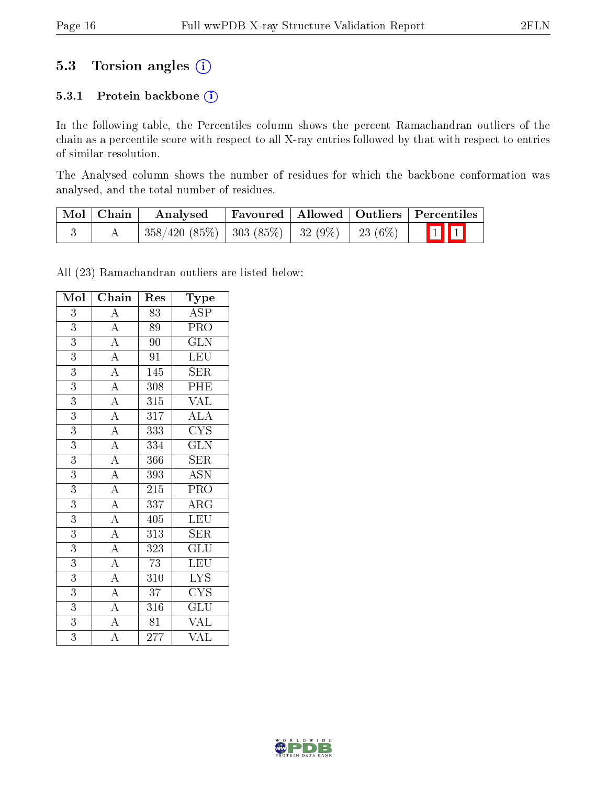## 5.3 Torsion angles (i)

#### 5.3.1 Protein backbone (i)

In the following table, the Percentiles column shows the percent Ramachandran outliers of the chain as a percentile score with respect to all X-ray entries followed by that with respect to entries of similar resolution.

The Analysed column shows the number of residues for which the backbone conformation was analysed, and the total number of residues.

| Mol   Chain | Favoured   Allowed   Outliers   Percentiles<br>Analysed |  |  |                         |  |
|-------------|---------------------------------------------------------|--|--|-------------------------|--|
|             | $358/420$ (85\%)   303 (85\%)   32 (9\%)   23 (6\%)     |  |  | $\boxed{1}$ $\boxed{1}$ |  |

All (23) Ramachandran outliers are listed below:

| Mol            | Chain                               | Res              | $_{\rm Type}$                           |
|----------------|-------------------------------------|------------------|-----------------------------------------|
| 3              | $\overline{A}$                      | 83               | $\overline{\text{ASP}}$                 |
| $\overline{3}$ | $\frac{\overline{A}}{A}$            | 89               | PRO                                     |
| $\overline{3}$ |                                     | 90               | $\overline{\text{GLN}}$                 |
| $\overline{3}$ | $\overline{A}$                      | $\overline{91}$  | LEU                                     |
| 3              | $\overline{A}$                      | 145              | <b>SER</b>                              |
| $\overline{3}$ | $\overline{A}$                      | 308              | PHE                                     |
| 3              | $\frac{\overline{A}}{\overline{A}}$ | 315              | $\rm \sqrt{AL}$                         |
| $\overline{3}$ |                                     | 317              | $\overline{\rm ALA}$                    |
| 3              | $\overline{A}$                      | 333              | $\overline{\text{C} \text{Y} \text{S}}$ |
| 3              | $\overline{A}$                      | 334              | $\overline{\text{GLN}}$                 |
| $\overline{3}$ | $\overline{A}$                      | 366              | <b>SER</b>                              |
| $\overline{3}$ | $\overline{A}$                      | 393              | $\overline{\mathrm{ASN}}$               |
| $\overline{3}$ | $\overline{A}$                      | $\overline{215}$ | $\overline{\mathrm{PRO}}$               |
| $\overline{3}$ | $\overline{A}$                      | 337              | $\rm{ARG}$                              |
| $\overline{3}$ | $\overline{A}$                      | 405              | LEU                                     |
| 3              | $\overline{A}$                      | 313              | <b>SER</b>                              |
| 3              | $\overline{A}$                      | 323              | GLU                                     |
| $\overline{3}$ | $\overline{A}$                      | $\overline{73}$  | $\overline{\text{LEU}}$                 |
| 3              | $\overline{A}$                      | 310              | <b>LYS</b>                              |
| $\overline{3}$ | $\frac{1}{\mathbf{A}}$              | $\overline{37}$  | $\overline{\text{C} \text{Y}} \text{S}$ |
| $\overline{3}$ | $\overline{A}$                      | 316              | GLU                                     |
| $\overline{3}$ | $\overline{\rm A}$                  | 81               | <b>VAL</b>                              |
| 3              | $\overline{\rm A}$                  | 277              | VAL                                     |

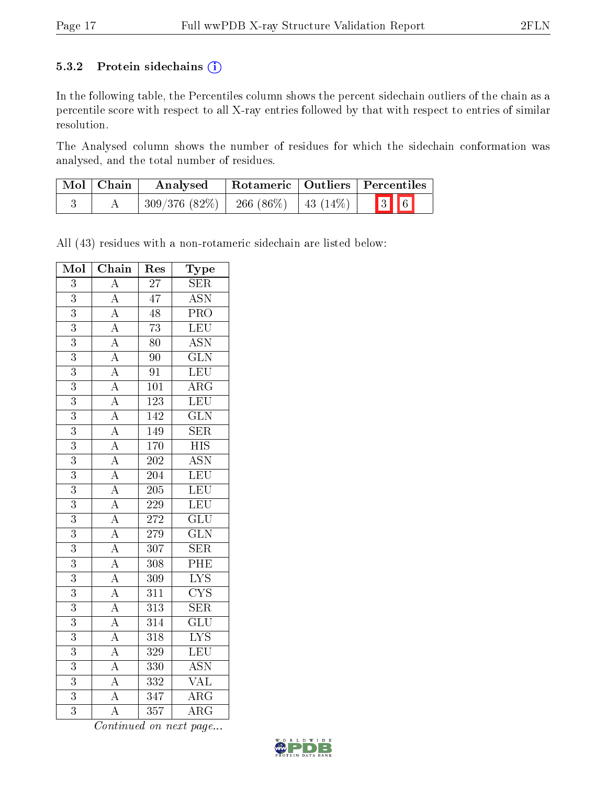#### 5.3.2 Protein sidechains (i)

In the following table, the Percentiles column shows the percent sidechain outliers of the chain as a percentile score with respect to all X-ray entries followed by that with respect to entries of similar resolution.

The Analysed column shows the number of residues for which the sidechain conformation was analysed, and the total number of residues.

| $\mid$ Mol $\mid$ Chain | Rotameric   Outliers   Percentiles<br>Analysed |  |     |  |
|-------------------------|------------------------------------------------|--|-----|--|
|                         | $309/376$ (82\%)   266 (86\%)   43 (14\%)      |  | 3 6 |  |

All (43) residues with a non-rotameric sidechain are listed below:

| Mol            | $\overline{\text{Chain}}$                                                                                                                                                                                                                                                                                                                                                                                                                                                                                         | Res              | Type                      |
|----------------|-------------------------------------------------------------------------------------------------------------------------------------------------------------------------------------------------------------------------------------------------------------------------------------------------------------------------------------------------------------------------------------------------------------------------------------------------------------------------------------------------------------------|------------------|---------------------------|
| $\overline{3}$ | $\overline{A}$                                                                                                                                                                                                                                                                                                                                                                                                                                                                                                    | $\overline{27}$  | $\overline{\text{SER}}$   |
| $\overline{3}$ |                                                                                                                                                                                                                                                                                                                                                                                                                                                                                                                   | $\overline{47}$  | $\overline{\mathrm{ASN}}$ |
| $\overline{3}$ |                                                                                                                                                                                                                                                                                                                                                                                                                                                                                                                   | $\overline{48}$  | $\overline{\text{PRO}}$   |
| $\overline{3}$ |                                                                                                                                                                                                                                                                                                                                                                                                                                                                                                                   | $\overline{73}$  | LEU                       |
| $\overline{3}$ |                                                                                                                                                                                                                                                                                                                                                                                                                                                                                                                   | $\overline{80}$  | $\overline{\text{ASN}}$   |
| $\overline{3}$ |                                                                                                                                                                                                                                                                                                                                                                                                                                                                                                                   | 90               | $\overline{\text{GLN}}$   |
| $\overline{3}$ |                                                                                                                                                                                                                                                                                                                                                                                                                                                                                                                   | $\overline{91}$  | $\overline{\text{LEU}}$   |
| $\overline{3}$ |                                                                                                                                                                                                                                                                                                                                                                                                                                                                                                                   | $\overline{101}$ | $\overline{\rm{ARG}}$     |
| $\overline{3}$ |                                                                                                                                                                                                                                                                                                                                                                                                                                                                                                                   | $\overline{123}$ | $\overline{\text{LEU}}$   |
| $\overline{3}$ |                                                                                                                                                                                                                                                                                                                                                                                                                                                                                                                   | 142              | $\overline{\text{GLN}}$   |
| $\overline{3}$ |                                                                                                                                                                                                                                                                                                                                                                                                                                                                                                                   | 149              | SER                       |
| $\overline{3}$ |                                                                                                                                                                                                                                                                                                                                                                                                                                                                                                                   | 170              | $\overline{HIS}$          |
| $\overline{3}$ |                                                                                                                                                                                                                                                                                                                                                                                                                                                                                                                   | $\overline{202}$ | $\overline{\mathrm{ASN}}$ |
| $\overline{3}$ |                                                                                                                                                                                                                                                                                                                                                                                                                                                                                                                   | $\overline{204}$ | LEU                       |
| $\overline{3}$ |                                                                                                                                                                                                                                                                                                                                                                                                                                                                                                                   | 205              | LEU                       |
| $\overline{3}$ |                                                                                                                                                                                                                                                                                                                                                                                                                                                                                                                   | 229              | LEU                       |
| $\overline{3}$ |                                                                                                                                                                                                                                                                                                                                                                                                                                                                                                                   | 272              | $\overline{\text{GLU}}$   |
| $\overline{3}$ |                                                                                                                                                                                                                                                                                                                                                                                                                                                                                                                   | $\overline{279}$ | $\overline{\text{GLN}}$   |
| $\overline{3}$ |                                                                                                                                                                                                                                                                                                                                                                                                                                                                                                                   | $\overline{307}$ | $\overline{\text{SER}}$   |
| $\overline{3}$ |                                                                                                                                                                                                                                                                                                                                                                                                                                                                                                                   | 308              | PHE                       |
| $\overline{3}$ |                                                                                                                                                                                                                                                                                                                                                                                                                                                                                                                   | 309              | $\overline{\text{LYS}}$   |
| $\overline{3}$ | $\frac{\overline{A}}{\overline{A}}\frac{\overline{A}}{\overline{A}}\frac{\overline{A}}{\overline{A}}\frac{\overline{A}}{\overline{A}}\frac{\overline{A}}{\overline{A}}\frac{\overline{A}}{\overline{A}}\frac{\overline{A}}{\overline{A}}\frac{\overline{A}}{\overline{A}}\frac{\overline{A}}{\overline{A}}\frac{\overline{A}}{\overline{A}}\frac{\overline{A}}{\overline{A}}\frac{\overline{A}}{\overline{A}}\frac{\overline{A}}{\overline{A}}\frac{\overline{A}}{\overline{A}}\frac{\overline{A}}{\overline{A}}$ | 311              | $\overline{\text{CYS}}$   |
| $\overline{3}$ |                                                                                                                                                                                                                                                                                                                                                                                                                                                                                                                   | $\overline{313}$ | $\overline{\text{SER}}$   |
| $\overline{3}$ |                                                                                                                                                                                                                                                                                                                                                                                                                                                                                                                   | $\overline{314}$ | $\overline{{\rm GLU}}$    |
| $\overline{3}$ |                                                                                                                                                                                                                                                                                                                                                                                                                                                                                                                   | $\overline{318}$ | $\overline{\text{LYS}}$   |
| $\overline{3}$ |                                                                                                                                                                                                                                                                                                                                                                                                                                                                                                                   | $\overline{329}$ | $\overline{\text{LEU}}$   |
| $\overline{3}$ |                                                                                                                                                                                                                                                                                                                                                                                                                                                                                                                   | 330              | $\overline{\text{ASN}}$   |
| $\overline{3}$ |                                                                                                                                                                                                                                                                                                                                                                                                                                                                                                                   | 332              | $\overline{\text{VAL}}$   |
| $\overline{3}$ |                                                                                                                                                                                                                                                                                                                                                                                                                                                                                                                   | 347              | $\overline{\rm{ARG}}$     |
| $\overline{3}$ |                                                                                                                                                                                                                                                                                                                                                                                                                                                                                                                   | $\overline{357}$ | $\overline{\rm{ARG}}$     |

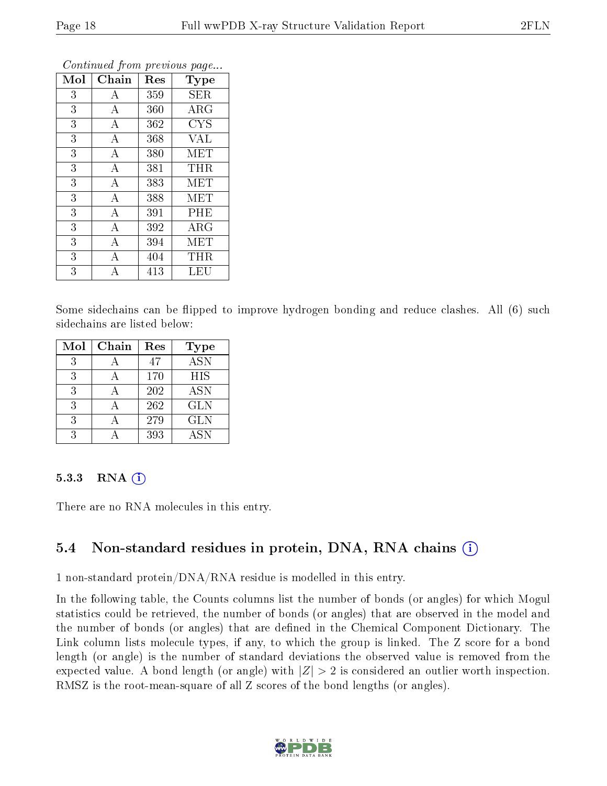| Mol | Chain              | Res | Type       |
|-----|--------------------|-----|------------|
| 3   | А                  | 359 | <b>SER</b> |
| 3   | А                  | 360 | $\rm{ARG}$ |
| 3   | А                  | 362 | <b>CYS</b> |
| 3   | А                  | 368 | <b>VAL</b> |
| 3   | $\boldsymbol{A}$   | 380 | <b>MET</b> |
| 3   | $\bf{A}$           | 381 | <b>THR</b> |
| 3   | $\boldsymbol{A}$   | 383 | MET        |
| 3   | $\boldsymbol{A}$   | 388 | <b>MET</b> |
| 3   | $\bf{A}$           | 391 | PHE        |
| 3   | $\overline{\rm A}$ | 392 | $\rm{ARG}$ |
| 3   | А                  | 394 | <b>MET</b> |
| 3   | А                  | 404 | THR        |
| 3   | А                  | 413 | LEU        |

Some sidechains can be flipped to improve hydrogen bonding and reduce clashes. All (6) such sidechains are listed below:

| Mol | Chain | Res | <b>Type</b>      |
|-----|-------|-----|------------------|
| 3   |       | 47  | $\overline{ASN}$ |
| 3   |       | 170 | HIS              |
| 3   |       | 202 | <b>ASN</b>       |
| 3   |       | 262 | <b>GLN</b>       |
| 3   |       | 279 | <b>GLN</b>       |
| 3   |       | 393 | <b>ASN</b>       |

#### 5.3.3 RNA  $(i)$

There are no RNA molecules in this entry.

### 5.4 Non-standard residues in protein, DNA, RNA chains (i)

1 non-standard protein/DNA/RNA residue is modelled in this entry.

In the following table, the Counts columns list the number of bonds (or angles) for which Mogul statistics could be retrieved, the number of bonds (or angles) that are observed in the model and the number of bonds (or angles) that are defined in the Chemical Component Dictionary. The Link column lists molecule types, if any, to which the group is linked. The Z score for a bond length (or angle) is the number of standard deviations the observed value is removed from the expected value. A bond length (or angle) with  $|Z| > 2$  is considered an outlier worth inspection. RMSZ is the root-mean-square of all Z scores of the bond lengths (or angles).

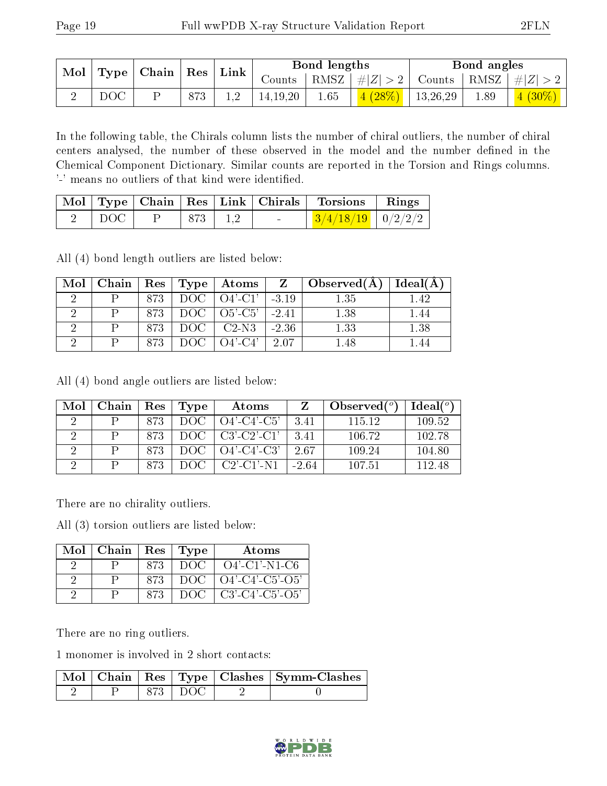| $\mathbf{Mod}$<br>$\mid$ Type $\mid$ Chain $\mid$ Res $\mid$ Link $\mid$ |                 |     |          | Bond lengths |                            | Bond angles                                                       |                                    |
|--------------------------------------------------------------------------|-----------------|-----|----------|--------------|----------------------------|-------------------------------------------------------------------|------------------------------------|
|                                                                          |                 |     |          |              |                            | Counts   RMSZ $\mid \#  Z  > 2$   Counts   RMSZ $\mid \#  Z  > 2$ |                                    |
|                                                                          | $_{\text{DOC}}$ | 873 | 14,19,20 | 1.65         | $\vert$ 4 (28%)   13,26,29 | 1.89                                                              | $\left 4\right  \left(30\%\right)$ |

In the following table, the Chirals column lists the number of chiral outliers, the number of chiral centers analysed, the number of these observed in the model and the number defined in the Chemical Component Dictionary. Similar counts are reported in the Torsion and Rings columns. '-' means no outliers of that kind were identified.

|                          |  |             |                               | Mol   Type   Chain   Res   Link   Chirals   Torsions   Rings |  |
|--------------------------|--|-------------|-------------------------------|--------------------------------------------------------------|--|
| $2 \mid \text{DOC} \mid$ |  | $ 873 $ 1.2 | the company of the company of | $\frac{3}{4/18/19}$ 0/2/2/2                                  |  |

All (4) bond length outliers are listed below:

| Mol |      |               | Chain   Res   Type   Atoms |         | $\overline{Z}$   Observed(A) | Ideal(A) |
|-----|------|---------------|----------------------------|---------|------------------------------|----------|
|     | 873  | DOC           | $\pm$ O4'-C1' $\pm$        | $-3.19$ | 1.35                         |          |
|     | 873. |               | $DOC$   $O5'-C5'$          | $-2.41$ | 1.38                         |          |
|     | 873  | $-1$ DOC $-1$ | $C2-N3$                    | $-2.36$ | 1.33                         | $1.38\,$ |
|     | 873  |               | $O4'$ -C4'                 | 2.07    |                              |          |

All (4) bond angle outliers are listed below:

| Mol | Chain | $\operatorname{Res}$ | Type | Atoms                 |         | Observed $(°)$ | Ideal(°) |
|-----|-------|----------------------|------|-----------------------|---------|----------------|----------|
|     |       | 873                  | -DOC | $O4'$ -C4'-C5'        | 3.41    | 115 12         | 109.52   |
|     |       | 873                  | DOC. | $C3'$ - $C2'$ - $C1'$ | 3.41    | 106.72         | 102.78   |
|     |       | 873                  | DOC  | $O4'$ -C4'-C3'        | 2.67    | 109.24         | 104.80   |
|     |       | 873                  | DOC  | $C2'$ - $C1'$ -N1     | $-2.64$ | 107.51         | 112.48   |

There are no chirality outliers.

All (3) torsion outliers are listed below:

| Mol | Chain |     | Res   Type | Atoms                    |
|-----|-------|-----|------------|--------------------------|
|     |       | 873 | - DOC      | $O4'$ -C1'-N1-C6         |
|     |       | 873 | - DOC -    | $\left[$ O4'-C4'-C5'-O5' |
|     |       | 873 | - DOC      | C3'-C4'-C5'-O5'          |

There are no ring outliers.

1 monomer is involved in 2 short contacts:

|  |       | Mol   Chain   Res   Type   Clashes   Symm-Clashes |
|--|-------|---------------------------------------------------|
|  | 1 DOC |                                                   |

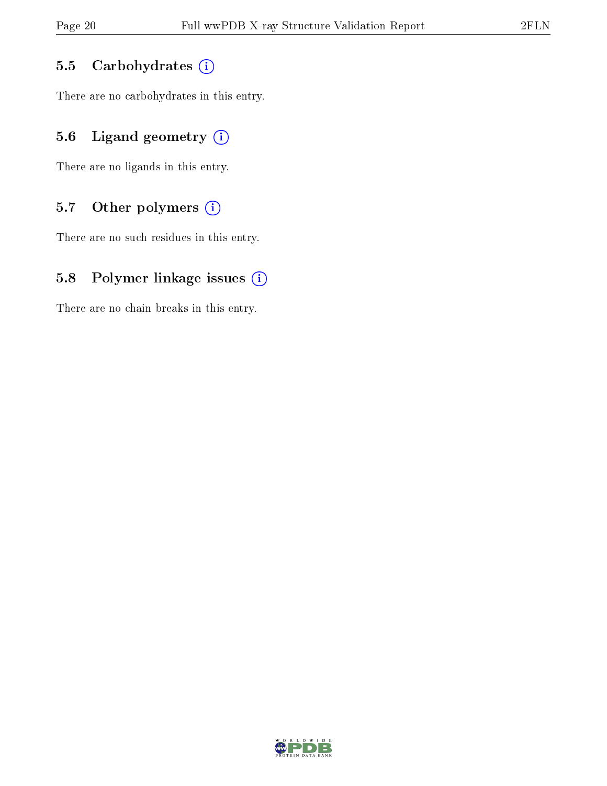#### 5.5 Carbohydrates (i)

There are no carbohydrates in this entry.

## 5.6 Ligand geometry  $(i)$

There are no ligands in this entry.

### 5.7 [O](https://www.wwpdb.org/validation/2017/XrayValidationReportHelp#nonstandard_residues_and_ligands)ther polymers  $(i)$

There are no such residues in this entry.

### 5.8 Polymer linkage issues  $(i)$

There are no chain breaks in this entry.

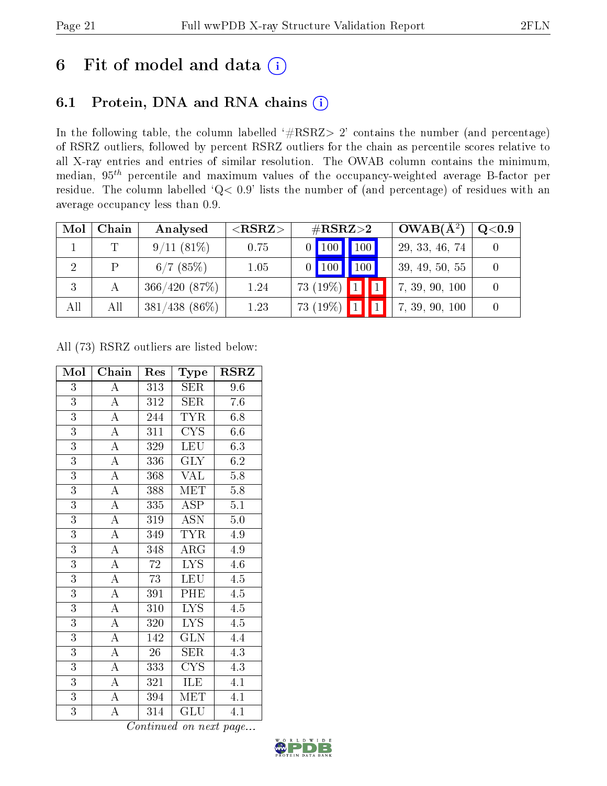## 6 Fit of model and data  $(i)$

## 6.1 Protein, DNA and RNA chains  $(i)$

In the following table, the column labelled  $#RSRZ> 2'$  contains the number (and percentage) of RSRZ outliers, followed by percent RSRZ outliers for the chain as percentile scores relative to all X-ray entries and entries of similar resolution. The OWAB column contains the minimum, median,  $95<sup>th</sup>$  percentile and maximum values of the occupancy-weighted average B-factor per residue. The column labelled ' $Q< 0.9$ ' lists the number of (and percentage) of residues with an average occupancy less than 0.9.

| Mol | Chain | Analysed         | ${ <\hspace{-1.5pt}{\mathrm{RSRZ}} \hspace{-1.5pt}>}$ | $\#\text{RSRZ}{>}2$             |  | $OWAB(A^2)$    | $\rm Q\textcolor{black}{<}0.9$ |
|-----|-------|------------------|-------------------------------------------------------|---------------------------------|--|----------------|--------------------------------|
|     | ጥ     | $9/11(81\%)$     | 0.75                                                  | $0$ $\boxed{100}$ $\boxed{100}$ |  | 29, 33, 46, 74 |                                |
|     | P     | $6/7$ (85%)      | 1.05                                                  | $0$   100   100                 |  | 39, 49, 50, 55 |                                |
|     |       | 366/420(87%)     | 1.24                                                  | $73(19\%)$                      |  | 7, 39, 90, 100 |                                |
| All | All   | $381/438$ (86\%) | 1.23                                                  | 73 (19%)                        |  | 7, 39, 90, 100 |                                |

All (73) RSRZ outliers are listed below:

| Mol            | Chain              | Res              | Type                            | <b>RSRZ</b>      |
|----------------|--------------------|------------------|---------------------------------|------------------|
| $\overline{3}$ | $\boldsymbol{A}$   | 313              | <b>SER</b>                      | 9.6              |
| $\overline{3}$ | $\overline{A}$     | 312              | <b>SER</b>                      | 7.6              |
| $\overline{3}$ | $\overline{\rm A}$ | 244              | TYR                             | 6.8              |
| $\overline{3}$ | $\overline{A}$     | $\overline{311}$ | $\overline{\text{C} \text{YS}}$ | 6.6              |
| $\overline{3}$ | $\overline{\rm A}$ | 329              | <b>LEU</b>                      | 6.3              |
| $\overline{3}$ | $\overline{A}$     | 336              | $\overline{\text{GLY}}$         | 6.2              |
| $\overline{3}$ | $\overline{\rm A}$ | 368              | <b>VAL</b>                      | 5.8              |
| $\overline{3}$ | $\overline{\rm A}$ | 388              | MET                             | 5.8              |
| $\overline{3}$ | $\overline{A}$     | 335              | <b>ASP</b>                      | $\overline{5.1}$ |
| $\overline{3}$ | $\overline{\rm A}$ | 319              | <b>ASN</b>                      | 5.0              |
| $\overline{3}$ | $\overline{A}$     | 349              | <b>TYR</b>                      | 4.9              |
| $\overline{3}$ | $\overline{\rm A}$ | 348              | $\rm{ARG}$                      | 4.9              |
| $\overline{3}$ | $\overline{\rm A}$ | $\overline{72}$  | $\overline{\text{LYS}}$         | 4.6              |
| $\overline{3}$ | $\overline{\rm A}$ | 73               | <b>LEU</b>                      | 4.5              |
| $\overline{3}$ | $\overline{\rm A}$ | 391              | PHE                             | 4.5              |
| $\overline{3}$ | $\overline{A}$     | 310              | $\overline{\text{LYS}}$         | $\overline{4.5}$ |
| $\overline{3}$ | $\overline{\rm A}$ | 320              | $LY\overline{S}$                | 4.5              |
| $\overline{3}$ | $\overline{A}$     | 142              | $\overline{\text{GLN}}$         | $4.\overline{4}$ |
| $\overline{3}$ | $\overline{\rm A}$ | $26\,$           | SER                             | 4.3              |
| $\overline{3}$ | $\overline{\rm A}$ | 333              | <b>CYS</b>                      | 4.3              |
| $\overline{3}$ | $\overline{A}$     | 321              | ILE                             | 4.1              |
| $\overline{3}$ | $\overline{\rm A}$ | 394              | MET                             | 4.1              |
| $\overline{3}$ | $\overline{\rm A}$ | 314              | GLU                             | 4.1              |

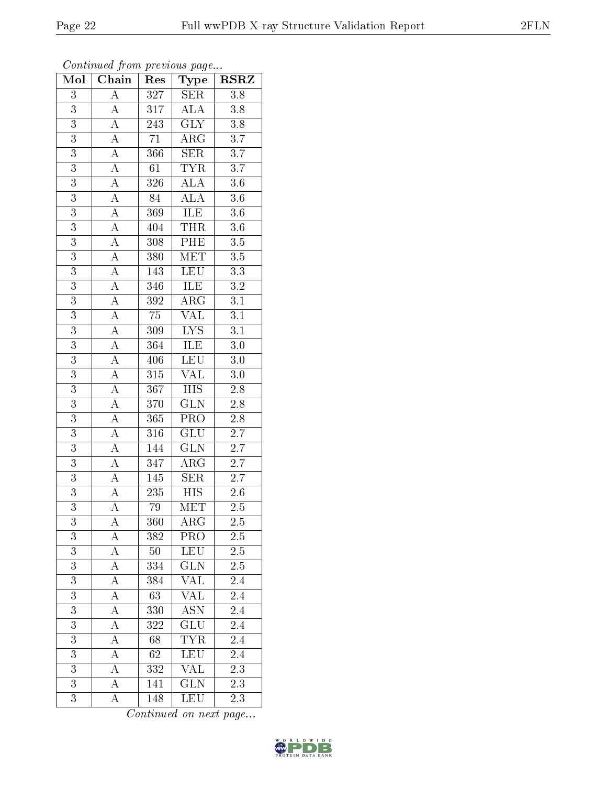| Mol              | $\overline{\text{Chain}}$           | Res              | Type                      | <b>RSRZ</b>      |
|------------------|-------------------------------------|------------------|---------------------------|------------------|
| $\overline{3}$   | $\overline{\rm A}$                  | 327              | <b>SER</b>                | 3.8              |
| 3                | $\boldsymbol{A}$                    | 317              | <b>ALA</b>                | $3.8\,$          |
| $\overline{3}$   | $\overline{A}$                      | 243              | $\overline{\text{GLY}}$   | $\overline{3.8}$ |
| $\overline{3}$   | $\overline{\rm A}$                  | $\overline{71}$  | $\overline{\rm{ARG}}$     | $\overline{3.7}$ |
| $\overline{3}$   | $\overline{A}$                      | 366              | $\overline{\text{SER}}$   | $\overline{3.7}$ |
| $\overline{3}$   | $\boldsymbol{A}$                    | 61               | <b>TYR</b>                | $\overline{3.7}$ |
| 3                | $\overline{A}$                      | 326              | ALA                       | $3.6\,$          |
| $\overline{3}$   | $\overline{A}$                      | 84               | ALA                       | $\overline{3.6}$ |
| $\overline{3}$   | $\overline{A}$                      | 369              | <b>ILE</b>                | $\overline{3.6}$ |
| $\overline{3}$   | $\overline{A}$                      | 404              | <b>THR</b>                | $\overline{3.6}$ |
| 3                | $\frac{\overline{A}}{\overline{A}}$ | 308              | PHE                       | $3.5\,$          |
| $\overline{3}$   |                                     | 380              | $\overline{\text{MET}}$   | $\overline{3.5}$ |
| $\overline{3}$   | $\overline{A}$                      | 143              | <b>LEU</b>                | $\overline{3.3}$ |
| $\overline{3}$   | $\overline{A}$                      | 346              | ILE                       | $\overline{3.2}$ |
| $\overline{3}$   | $\overline{A}$                      | 392              | $\overline{\rm{ARG}}$     | $\overline{3.1}$ |
| $\overline{3}$   | $\overline{A}$                      | $\overline{75}$  | <b>VAL</b>                | $\overline{3.1}$ |
| $\overline{3}$   | $\overline{A}$                      | $\overline{309}$ | $\overline{\text{LYS}}$   | $\overline{3.1}$ |
| $\overline{3}$   | $\overline{A}$                      | 364              | ILE                       | $\overline{3.0}$ |
| $\overline{3}$   | $\overline{A}$                      | 406              | $\overline{\text{LEU}}$   | $\overline{3.0}$ |
| $\overline{3}$   | $\overline{A}$                      | 315              | $\overline{\text{VAL}}$   | $\overline{3.0}$ |
| $\overline{3}$   | $\overline{A}$                      | 367              | $\overline{HIS}$          | $2.8\,$          |
| $\overline{3}$   | $\overline{A}$                      | 370              | $\overline{\text{GLN}}$   | $\overline{2.8}$ |
| $\overline{3}$   | $\overline{\rm A}$                  | 365              | PRO                       | $2.8\,$          |
| $\overline{3}$   | $\overline{\rm A}$                  | 316              | $\overline{\text{GLU}}$   | $\overline{2.7}$ |
| $\overline{3}$   | $\overline{A}$                      | 144              | GLN                       | $\overline{2.7}$ |
| 3                | $\boldsymbol{A}$                    | 347              | $\rm{ARG}$                | $2.7\,$          |
| $\overline{3}$   | $\overline{A}$                      | 145              | SER                       | 2.7              |
| $\overline{3}$   | $\overline{A}$                      | 235              | <b>HIS</b>                | $2.6\,$          |
| $\overline{3}$   | $\overline{\rm A}$                  | $\overline{79}$  | $\overline{\text{MET}}$   | $\overline{2.5}$ |
| 3                | A                                   | $360\,$          | $\rm{ARG}$                | $2.5\,$          |
| 3                | A                                   | 382              | PRO                       | 2.5              |
| $\overline{3}$   | $\overline{A}$                      | 50               | <b>LEU</b>                | $\overline{2.5}$ |
| 3                | $\overline{\rm A}$                  | 334              | <b>GLN</b>                | 2.5              |
| $\overline{3}$   | $\overline{\rm A}$                  | 384              | $\overline{\text{VAL}}$   | $\overline{2.4}$ |
| $\boldsymbol{3}$ | $\boldsymbol{A}$                    | 63               | VĀL                       | 2.4              |
| $\overline{3}$   | $\overline{A}$                      | 330              | $\overline{\mathrm{ASN}}$ | $\overline{2.4}$ |
| 3                | A                                   | 322              | GLU                       | $2.\overline{4}$ |
| $\overline{3}$   | A                                   | 68               | <b>TYR</b>                | 2.4              |
| $\overline{3}$   | A                                   | 62               | LEU                       | 2.4              |
| 3                | $\boldsymbol{A}$                    | 332              | <b>VAL</b>                | 2.3              |
| 3                | $\boldsymbol{A}$                    | 141              | $\overline{\text{GLN}}$   | 2.3              |
| $\overline{3}$   | $\boldsymbol{A}$                    | 148              | LEU                       | 2.3              |